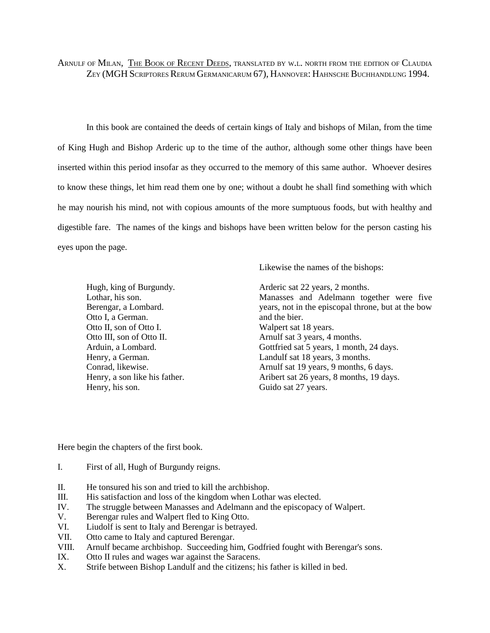ARNULF OF MILAN, THE BOOK OF RECENT DEEDS, TRANSLATED BY W.L. NORTH FROM THE EDITION OF CLAUDIA ZEY (MGH SCRIPTORES RERUM GERMANICARUM 67), HANNOVER: HAHNSCHE BUCHHANDLUNG 1994.

In this book are contained the deeds of certain kings of Italy and bishops of Milan, from the time of King Hugh and Bishop Arderic up to the time of the author, although some other things have been inserted within this period insofar as they occurred to the memory of this same author. Whoever desires to know these things, let him read them one by one; without a doubt he shall find something with which he may nourish his mind, not with copious amounts of the more sumptuous foods, but with healthy and digestible fare. The names of the kings and bishops have been written below for the person casting his eyes upon the page.

Likewise the names of the bishops:

Hugh, king of Burgundy. Lothar, his son. Berengar, a Lombard. Otto I, a German. Otto II, son of Otto I. Otto III, son of Otto II. Arduin, a Lombard. Henry, a German. Conrad, likewise. Henry, a son like his father. Henry, his son.

Arderic sat 22 years, 2 months. Manasses and Adelmann together were five years, not in the episcopal throne, but at the bow and the bier. Walpert sat 18 years. Arnulf sat 3 years, 4 months. Gottfried sat 5 years, 1 month, 24 days. Landulf sat 18 years, 3 months. Arnulf sat 19 years, 9 months, 6 days. Aribert sat 26 years, 8 months, 19 days. Guido sat 27 years.

Here begin the chapters of the first book.

- I. First of all, Hugh of Burgundy reigns.
- II. He tonsured his son and tried to kill the archbishop.
- III. His satisfaction and loss of the kingdom when Lothar was elected.
- IV. The struggle between Manasses and Adelmann and the episcopacy of Walpert.
- V. Berengar rules and Walpert fled to King Otto.
- VI. Liudolf is sent to Italy and Berengar is betrayed.
- VII. Otto came to Italy and captured Berengar.
- VIII. Arnulf became archbishop. Succeeding him, Godfried fought with Berengar's sons.
- IX. Otto II rules and wages war against the Saracens.
- X. Strife between Bishop Landulf and the citizens; his father is killed in bed.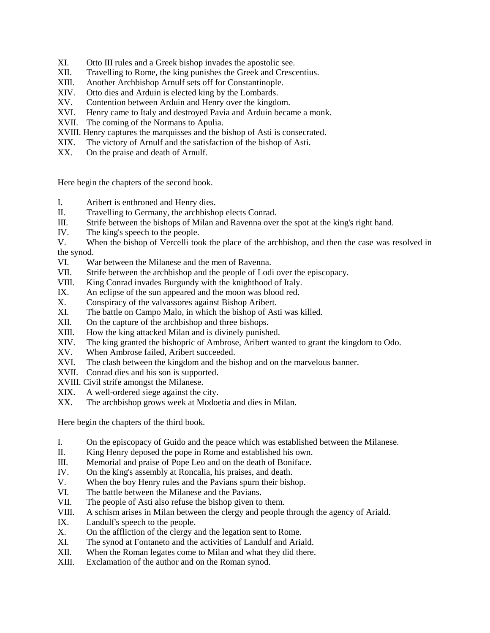- XI. Otto III rules and a Greek bishop invades the apostolic see.
- XII. Travelling to Rome, the king punishes the Greek and Crescentius.
- XIII. Another Archbishop Arnulf sets off for Constantinople.
- XIV. Otto dies and Arduin is elected king by the Lombards.
- XV. Contention between Arduin and Henry over the kingdom.
- XVI. Henry came to Italy and destroyed Pavia and Arduin became a monk.
- XVII. The coming of the Normans to Apulia.
- XVIII. Henry captures the marquisses and the bishop of Asti is consecrated.
- XIX. The victory of Arnulf and the satisfaction of the bishop of Asti.
- XX. On the praise and death of Arnulf.

Here begin the chapters of the second book.

- I. Aribert is enthroned and Henry dies.
- II. Travelling to Germany, the archbishop elects Conrad.
- III. Strife between the bishops of Milan and Ravenna over the spot at the king's right hand.
- IV. The king's speech to the people.
- V. When the bishop of Vercelli took the place of the archbishop, and then the case was resolved in the synod.
- VI. War between the Milanese and the men of Ravenna.
- VII. Strife between the archbishop and the people of Lodi over the episcopacy.
- VIII. King Conrad invades Burgundy with the knighthood of Italy.
- IX. An eclipse of the sun appeared and the moon was blood red.
- X. Conspiracy of the valvassores against Bishop Aribert.
- XI. The battle on Campo Malo, in which the bishop of Asti was killed.
- XII. On the capture of the archbishop and three bishops.
- XIII. How the king attacked Milan and is divinely punished.
- XIV. The king granted the bishopric of Ambrose, Aribert wanted to grant the kingdom to Odo.
- XV. When Ambrose failed, Aribert succeeded.
- XVI. The clash between the kingdom and the bishop and on the marvelous banner.
- XVII. Conrad dies and his son is supported.
- XVIII. Civil strife amongst the Milanese.
- XIX. A well-ordered siege against the city.
- XX. The archbishop grows week at Modoetia and dies in Milan.

Here begin the chapters of the third book.

- I. On the episcopacy of Guido and the peace which was established between the Milanese.
- II. King Henry deposed the pope in Rome and established his own.
- III. Memorial and praise of Pope Leo and on the death of Boniface.
- IV. On the king's assembly at Roncalia, his praises, and death.
- V. When the boy Henry rules and the Pavians spurn their bishop.
- VI. The battle between the Milanese and the Pavians.
- VII. The people of Asti also refuse the bishop given to them.
- VIII. A schism arises in Milan between the clergy and people through the agency of Ariald.
- IX. Landulf's speech to the people.
- X. On the affliction of the clergy and the legation sent to Rome.
- XI. The synod at Fontaneto and the activities of Landulf and Ariald.
- XII. When the Roman legates come to Milan and what they did there.
- XIII. Exclamation of the author and on the Roman synod.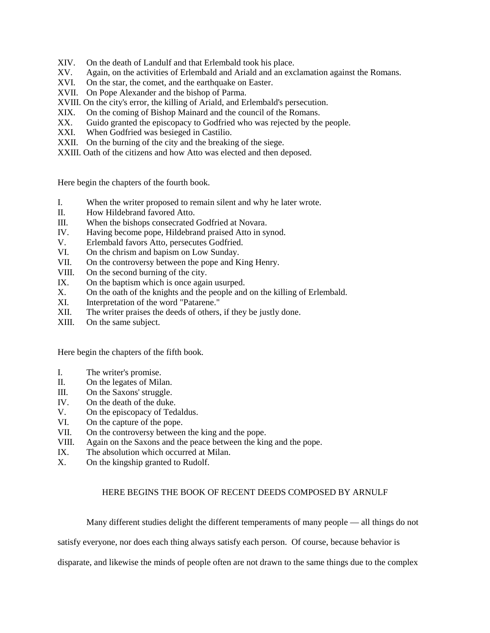- XIV. On the death of Landulf and that Erlembald took his place.
- XV. Again, on the activities of Erlembald and Ariald and an exclamation against the Romans.
- XVI. On the star, the comet, and the earthquake on Easter.
- XVII. On Pope Alexander and the bishop of Parma.
- XVIII. On the city's error, the killing of Ariald, and Erlembald's persecution.
- XIX. On the coming of Bishop Mainard and the council of the Romans.
- XX. Guido granted the episcopacy to Godfried who was rejected by the people.
- XXI. When Godfried was besieged in Castilio.
- XXII. On the burning of the city and the breaking of the siege.
- XXIII. Oath of the citizens and how Atto was elected and then deposed.

Here begin the chapters of the fourth book.

- I. When the writer proposed to remain silent and why he later wrote.
- II. How Hildebrand favored Atto.
- III. When the bishops consecrated Godfried at Novara.
- IV. Having become pope, Hildebrand praised Atto in synod.
- V. Erlembald favors Atto, persecutes Godfried.
- VI. On the chrism and bapism on Low Sunday.
- VII. On the controversy between the pope and King Henry.
- VIII. On the second burning of the city.
- IX. On the baptism which is once again usurped.
- X. On the oath of the knights and the people and on the killing of Erlembald.
- XI. Interpretation of the word "Patarene."
- XII. The writer praises the deeds of others, if they be justly done.
- XIII. On the same subject.

Here begin the chapters of the fifth book.

- I. The writer's promise.
- II. On the legates of Milan.
- III. On the Saxons' struggle.
- IV. On the death of the duke.
- V. On the episcopacy of Tedaldus.
- VI. On the capture of the pope.
- VII. On the controversy between the king and the pope.
- VIII. Again on the Saxons and the peace between the king and the pope.
- IX. The absolution which occurred at Milan.
- X. On the kingship granted to Rudolf.

# HERE BEGINS THE BOOK OF RECENT DEEDS COMPOSED BY ARNULF

Many different studies delight the different temperaments of many people — all things do not

satisfy everyone, nor does each thing always satisfy each person. Of course, because behavior is

disparate, and likewise the minds of people often are not drawn to the same things due to the complex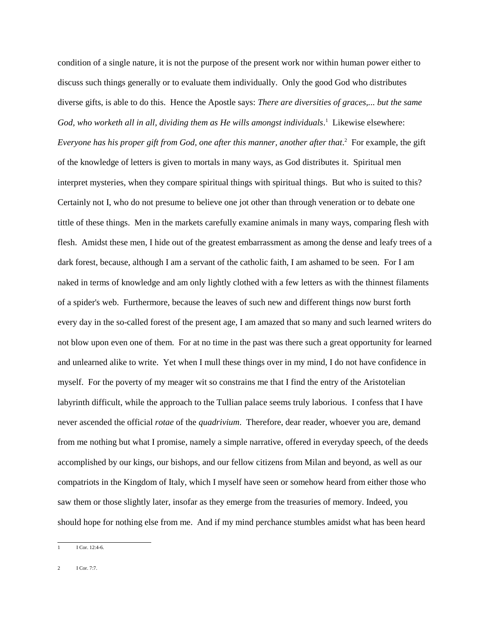condition of a single nature, it is not the purpose of the present work nor within human power either to discuss such things generally or to evaluate them individually. Only the good God who distributes diverse gifts, is able to do this. Hence the Apostle says: *There are diversities of graces,... but the same* God, who worketh all in all, dividing them as He wills amongst individuals.<sup>1</sup> Likewise elsewhere: Everyone has his proper gift from God, one after this manner, another after that.<sup>2</sup> For example, the gift of the knowledge of letters is given to mortals in many ways, as God distributes it. Spiritual men interpret mysteries, when they compare spiritual things with spiritual things. But who is suited to this? Certainly not I, who do not presume to believe one jot other than through veneration or to debate one tittle of these things. Men in the markets carefully examine animals in many ways, comparing flesh with flesh. Amidst these men, I hide out of the greatest embarrassment as among the dense and leafy trees of a dark forest, because, although I am a servant of the catholic faith, I am ashamed to be seen. For I am naked in terms of knowledge and am only lightly clothed with a few letters as with the thinnest filaments of a spider's web. Furthermore, because the leaves of such new and different things now burst forth every day in the so-called forest of the present age, I am amazed that so many and such learned writers do not blow upon even one of them. For at no time in the past was there such a great opportunity for learned and unlearned alike to write. Yet when I mull these things over in my mind, I do not have confidence in myself. For the poverty of my meager wit so constrains me that I find the entry of the Aristotelian labyrinth difficult, while the approach to the Tullian palace seems truly laborious. I confess that I have never ascended the official *rotae* of the *quadrivium*. Therefore, dear reader, whoever you are, demand from me nothing but what I promise, namely a simple narrative, offered in everyday speech, of the deeds accomplished by our kings, our bishops, and our fellow citizens from Milan and beyond, as well as our compatriots in the Kingdom of Italy, which I myself have seen or somehow heard from either those who saw them or those slightly later, insofar as they emerge from the treasuries of memory. Indeed, you should hope for nothing else from me. And if my mind perchance stumbles amidst what has been heard

<sup>1</sup> I Cor. 12:4-6.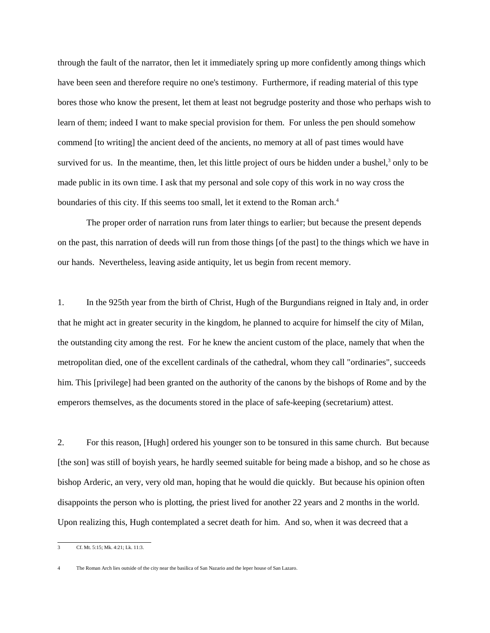through the fault of the narrator, then let it immediately spring up more confidently among things which have been seen and therefore require no one's testimony. Furthermore, if reading material of this type bores those who know the present, let them at least not begrudge posterity and those who perhaps wish to learn of them; indeed I want to make special provision for them. For unless the pen should somehow commend [to writing] the ancient deed of the ancients, no memory at all of past times would have survived for us. In the meantime, then, let this little project of ours be hidden under a bushel, $3$  only to be made public in its own time. I ask that my personal and sole copy of this work in no way cross the boundaries of this city. If this seems too small, let it extend to the Roman arch.<sup>4</sup>

The proper order of narration runs from later things to earlier; but because the present depends on the past, this narration of deeds will run from those things [of the past] to the things which we have in our hands. Nevertheless, leaving aside antiquity, let us begin from recent memory.

1. In the 925th year from the birth of Christ, Hugh of the Burgundians reigned in Italy and, in order that he might act in greater security in the kingdom, he planned to acquire for himself the city of Milan, the outstanding city among the rest. For he knew the ancient custom of the place, namely that when the metropolitan died, one of the excellent cardinals of the cathedral, whom they call "ordinaries", succeeds him. This [privilege] had been granted on the authority of the canons by the bishops of Rome and by the emperors themselves, as the documents stored in the place of safe-keeping (secretarium) attest.

2. For this reason, [Hugh] ordered his younger son to be tonsured in this same church. But because [the son] was still of boyish years, he hardly seemed suitable for being made a bishop, and so he chose as bishop Arderic, an very, very old man, hoping that he would die quickly. But because his opinion often disappoints the person who is plotting, the priest lived for another 22 years and 2 months in the world. Upon realizing this, Hugh contemplated a secret death for him. And so, when it was decreed that a

<sup>3</sup> Cf. Mt. 5:15; Mk. 4:21; Lk. 11:3.

<sup>4</sup> The Roman Arch lies outside of the city near the basilica of San Nazario and the leper house of San Lazaro.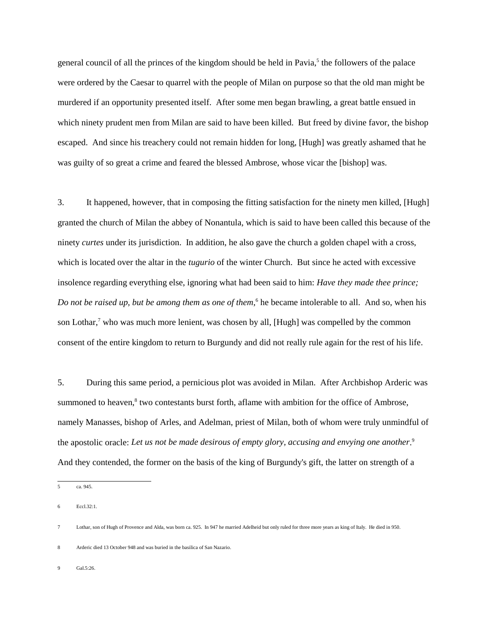general council of all the princes of the kingdom should be held in Pavia,<sup>5</sup> the followers of the palace were ordered by the Caesar to quarrel with the people of Milan on purpose so that the old man might be murdered if an opportunity presented itself. After some men began brawling, a great battle ensued in which ninety prudent men from Milan are said to have been killed. But freed by divine favor, the bishop escaped. And since his treachery could not remain hidden for long, [Hugh] was greatly ashamed that he was guilty of so great a crime and feared the blessed Ambrose, whose vicar the [bishop] was.

3. It happened, however, that in composing the fitting satisfaction for the ninety men killed, [Hugh] granted the church of Milan the abbey of Nonantula, which is said to have been called this because of the ninety *curtes* under its jurisdiction. In addition, he also gave the church a golden chapel with a cross, which is located over the altar in the *tugurio* of the winter Church. But since he acted with excessive insolence regarding everything else, ignoring what had been said to him: *Have they made thee prince;* Do not be raised up, but be among them as one of them,<sup>6</sup> he became intolerable to all. And so, when his son Lothar,<sup>7</sup> who was much more lenient, was chosen by all, [Hugh] was compelled by the common consent of the entire kingdom to return to Burgundy and did not really rule again for the rest of his life.

5. During this same period, a pernicious plot was avoided in Milan. After Archbishop Arderic was summoned to heaven,<sup>8</sup> two contestants burst forth, aflame with ambition for the office of Ambrose, namely Manasses, bishop of Arles, and Adelman, priest of Milan, both of whom were truly unmindful of the apostolic oracle: *Let us not be made desirous of empty glory, accusing and envying one another*. 9 And they contended, the former on the basis of the king of Burgundy's gift, the latter on strength of a

Gal.5:26.

<sup>5</sup> ca. 945.

<sup>6</sup> Eccl.32:1.

<sup>7</sup> Lothar, son of Hugh of Provence and Alda, was born ca. 925. In 947 he married Adelheid but only ruled for three more years as king of Italy. He died in 950.

<sup>8</sup> Arderic died 13 October 948 and was buried in the basilica of San Nazario.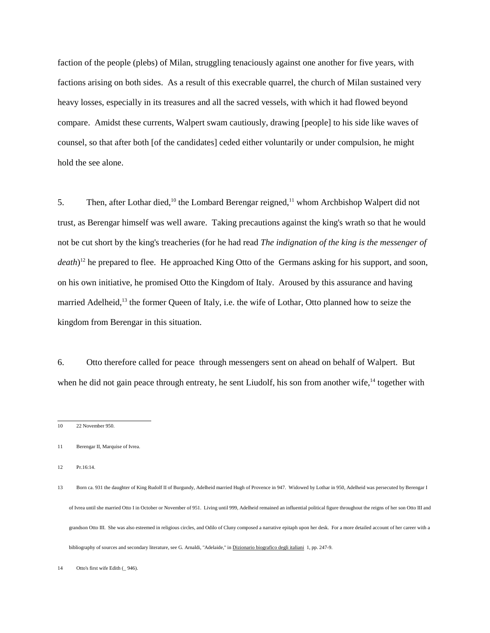faction of the people (plebs) of Milan, struggling tenaciously against one another for five years, with factions arising on both sides. As a result of this execrable quarrel, the church of Milan sustained very heavy losses, especially in its treasures and all the sacred vessels, with which it had flowed beyond compare. Amidst these currents, Walpert swam cautiously, drawing [people] to his side like waves of counsel, so that after both [of the candidates] ceded either voluntarily or under compulsion, he might hold the see alone.

5. Then, after Lothar died,<sup>10</sup> the Lombard Berengar reigned,<sup>11</sup> whom Archbishop Walpert did not trust, as Berengar himself was well aware. Taking precautions against the king's wrath so that he would not be cut short by the king's treacheries (for he had read *The indignation of the king is the messenger of death*) 12 he prepared to flee. He approached King Otto of the Germans asking for his support, and soon, on his own initiative, he promised Otto the Kingdom of Italy. Aroused by this assurance and having married Adelheid,<sup>13</sup> the former Queen of Italy, i.e. the wife of Lothar, Otto planned how to seize the kingdom from Berengar in this situation.

6. Otto therefore called for peace through messengers sent on ahead on behalf of Walpert. But when he did not gain peace through entreaty, he sent Liudolf, his son from another wife,<sup>14</sup> together with

12 Pr.16:14.

13 Born ca. 931 the daughter of King Rudolf II of Burgundy, Adelheid married Hugh of Provence in 947. Widowed by Lothar in 950, Adelheid was persecuted by Berengar I of Ivrea until she married Otto I in October or November of 951. Living until 999, Adelheid remained an influential political figure throughout the reigns of her son Otto III and grandson Otto III. She was also esteemed in religious circles, and Odilo of Cluny composed a narrative epitaph upon her desk. For a more detailed account of her career with a bibliography of sources and secondary literature, see G. Arnaldi, "Adelaide," in Dizionario biografico degli italiani 1, pp. 247-9.

<sup>10 22</sup> November 950.

<sup>11</sup> Berengar II, Marquise of Ivrea.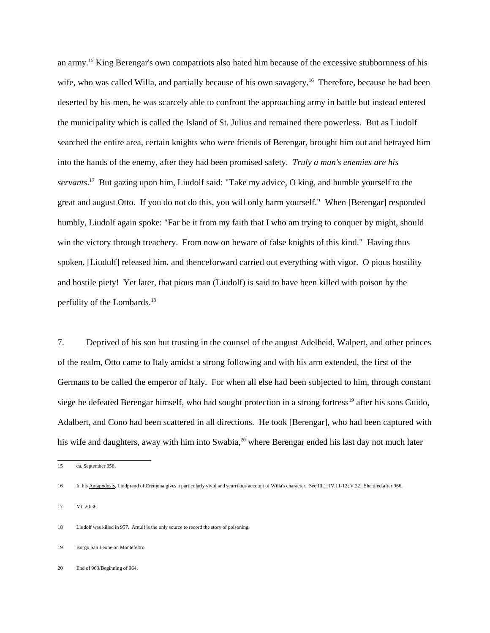an army.15 King Berengar's own compatriots also hated him because of the excessive stubbornness of his wife, who was called Willa, and partially because of his own savagery.<sup>16</sup> Therefore, because he had been deserted by his men, he was scarcely able to confront the approaching army in battle but instead entered the municipality which is called the Island of St. Julius and remained there powerless. But as Liudolf searched the entire area, certain knights who were friends of Berengar, brought him out and betrayed him into the hands of the enemy, after they had been promised safety. *Truly a man's enemies are his servants*. 17 But gazing upon him, Liudolf said: "Take my advice, O king, and humble yourself to the great and august Otto. If you do not do this, you will only harm yourself." When [Berengar] responded humbly, Liudolf again spoke: "Far be it from my faith that I who am trying to conquer by might, should win the victory through treachery. From now on beware of false knights of this kind." Having thus spoken, [Liudulf] released him, and thenceforward carried out everything with vigor. O pious hostility and hostile piety! Yet later, that pious man (Liudolf) is said to have been killed with poison by the perfidity of the Lombards.18

7. Deprived of his son but trusting in the counsel of the august Adelheid, Walpert, and other princes of the realm, Otto came to Italy amidst a strong following and with his arm extended, the first of the Germans to be called the emperor of Italy. For when all else had been subjected to him, through constant siege he defeated Berengar himself, who had sought protection in a strong fortress<sup>19</sup> after his sons Guido, Adalbert, and Cono had been scattered in all directions. He took [Berengar], who had been captured with his wife and daughters, away with him into Swabia,<sup>20</sup> where Berengar ended his last day not much later

<sup>15</sup> ca. September 956.

<sup>16</sup> In his Antapodosis, Liudprand of Cremona gives a particularly vivid and scurrilous account of Willa's character. See III.1; IV.11-12; V.32. She died after 966.

<sup>17</sup> Mt. 20:36.

<sup>18</sup> Liudolf was killed in 957. Arnulf is the only source to record the story of poisoning.

<sup>19</sup> Borgo San Leone on Montefeltro.

<sup>20</sup> End of 963/Beginning of 964.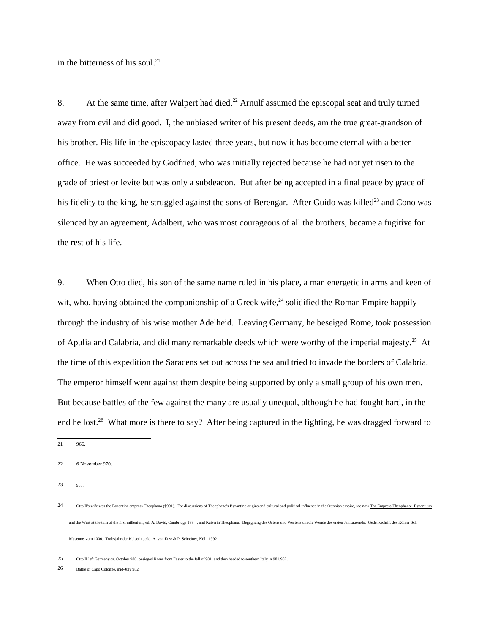in the bitterness of his soul.<sup>21</sup>

8. At the same time, after Walpert had died,<sup>22</sup> Arnulf assumed the episcopal seat and truly turned away from evil and did good. I, the unbiased writer of his present deeds, am the true great-grandson of his brother. His life in the episcopacy lasted three years, but now it has become eternal with a better office. He was succeeded by Godfried, who was initially rejected because he had not yet risen to the grade of priest or levite but was only a subdeacon. But after being accepted in a final peace by grace of his fidelity to the king, he struggled against the sons of Berengar. After Guido was killed<sup>23</sup> and Cono was silenced by an agreement, Adalbert, who was most courageous of all the brothers, became a fugitive for the rest of his life.

9. When Otto died, his son of the same name ruled in his place, a man energetic in arms and keen of wit, who, having obtained the companionship of a Greek wife,  $24$  solidified the Roman Empire happily through the industry of his wise mother Adelheid. Leaving Germany, he beseiged Rome, took possession of Apulia and Calabria, and did many remarkable deeds which were worthy of the imperial majesty.<sup>25</sup> At the time of this expedition the Saracens set out across the sea and tried to invade the borders of Calabria. The emperor himself went against them despite being supported by only a small group of his own men. But because battles of the few against the many are usually unequal, although he had fought hard, in the end he lost.<sup>26</sup> What more is there to say? After being captured in the fighting, he was dragged forward to

21 966.

22 6 November 970.

23 965.

25 Otto II left Germany ca. October 980, besieged Rome from Easter to the fall of 981, and then headed to southern Italy in 981/982.

26 Battle of Capo Colonne, mid-July 982.

<sup>24</sup> Otto II's wife was the Byzantine empress Theophano (†991). For discussions of Theophano's Byzantine origins and cultural and political influence in the Ottonian empire, see now The Empress Theoph and the West at the turn of the first millenium, ed. A. David, Cambridge 199 , and Kaiserin Theophanu: Begegnung des Ostens umd Westens um die Wende des ersten Jahrtausends: Gedenkschrift des Kölner Sch Museums zum 1000. Todesjahr der Kaiserin, edd. A. von Euw & P. Schreiner, Köln 1992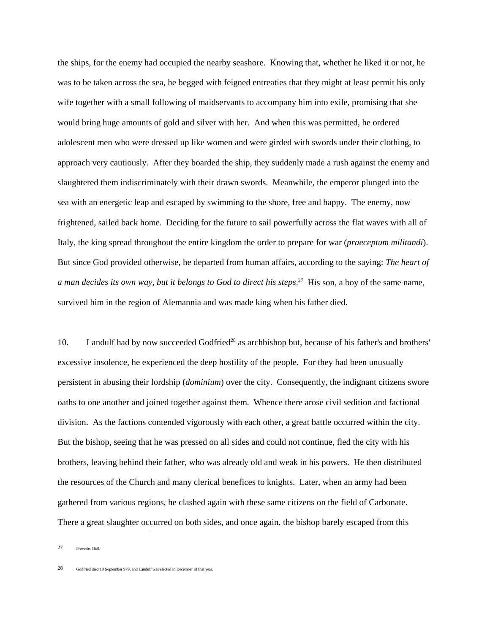the ships, for the enemy had occupied the nearby seashore. Knowing that, whether he liked it or not, he was to be taken across the sea, he begged with feigned entreaties that they might at least permit his only wife together with a small following of maidservants to accompany him into exile, promising that she would bring huge amounts of gold and silver with her. And when this was permitted, he ordered adolescent men who were dressed up like women and were girded with swords under their clothing, to approach very cautiously. After they boarded the ship, they suddenly made a rush against the enemy and slaughtered them indiscriminately with their drawn swords. Meanwhile, the emperor plunged into the sea with an energetic leap and escaped by swimming to the shore, free and happy. The enemy, now frightened, sailed back home. Deciding for the future to sail powerfully across the flat waves with all of Italy, the king spread throughout the entire kingdom the order to prepare for war (*praeceptum militandi*). But since God provided otherwise, he departed from human affairs, according to the saying: *The heart of a man decides its own way, but it belongs to God to direct his steps*. 27 His son, a boy of the same name, survived him in the region of Alemannia and was made king when his father died.

10. Landulf had by now succeeded Godfried<sup>28</sup> as archbishop but, because of his father's and brothers' excessive insolence, he experienced the deep hostility of the people. For they had been unusually persistent in abusing their lordship (*dominium*) over the city. Consequently, the indignant citizens swore oaths to one another and joined together against them. Whence there arose civil sedition and factional division. As the factions contended vigorously with each other, a great battle occurred within the city. But the bishop, seeing that he was pressed on all sides and could not continue, fled the city with his brothers, leaving behind their father, who was already old and weak in his powers. He then distributed the resources of the Church and many clerical benefices to knights. Later, when an army had been gathered from various regions, he clashed again with these same citizens on the field of Carbonate. There a great slaughter occurred on both sides, and once again, the bishop barely escaped from this

<sup>27</sup> Proverbs 16:9.

<sup>28</sup> Godfried died 19 September 979, and Landulf was elected in December of that year.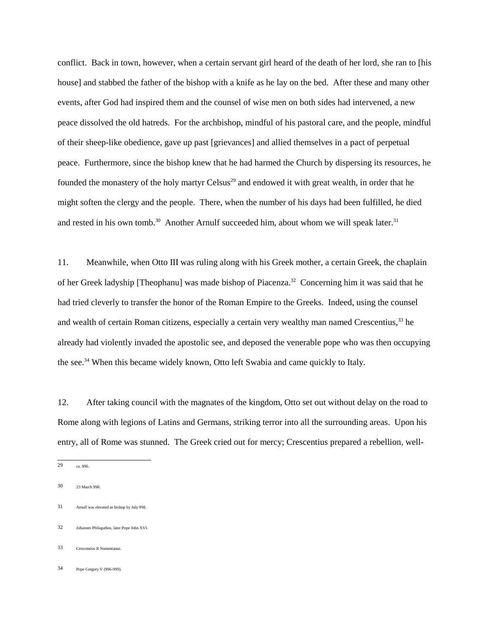conflict. Back in town, however, when a certain servant girl heard of the death of her lord, she ran to [his house] and stabbed the father of the bishop with a knife as he lay on the bed. After these and many other events, after God had inspired them and the counsel of wise men on both sides had intervened, a new peace dissolved the old hatreds. For the archbishop, mindful of his pastoral care, and the people, mindful of their sheep-like obedience, gave up past [grievances] and allied themselves in a pact of perpetual peace. Furthermore, since the bishop knew that he had harmed the Church by dispersing its resources, he founded the monastery of the holy martyr Celsus<sup>29</sup> and endowed it with great wealth, in order that he might soften the clergy and the people. There, when the number of his days had been fulfilled, he died and rested in his own tomb.<sup>30</sup> Another Arnulf succeeded him, about whom we will speak later.<sup>31</sup>

11. Meanwhile, when Otto III was ruling along with his Greek mother, a certain Greek, the chaplain of her Greek ladyship [Theophanu] was made bishop of Piacenza.32 Concerning him it was said that he had tried cleverly to transfer the honor of the Roman Empire to the Greeks. Indeed, using the counsel and wealth of certain Roman citizens, especially a certain very wealthy man named Crescentius,33 he already had violently invaded the apostolic see, and deposed the venerable pope who was then occupying the see.34 When this became widely known, Otto left Swabia and came quickly to Italy.

12. After taking council with the magnates of the kingdom, Otto set out without delay on the road to Rome along with legions of Latins and Germans, striking terror into all the surrounding areas. Upon his entry, all of Rome was stunned. The Greek cried out for mercy; Crescentius prepared a rebellion, well-

- 31 Arnulf was elevated as bishop by July 998.
- 32 Johannes Philagathos, later Pope John XVI.
- 33 Crescentius II Nomentanus.
- 34 Pope Gregory V (996-999).

<sup>29</sup> ca. 996.

<sup>30 23</sup> March 998.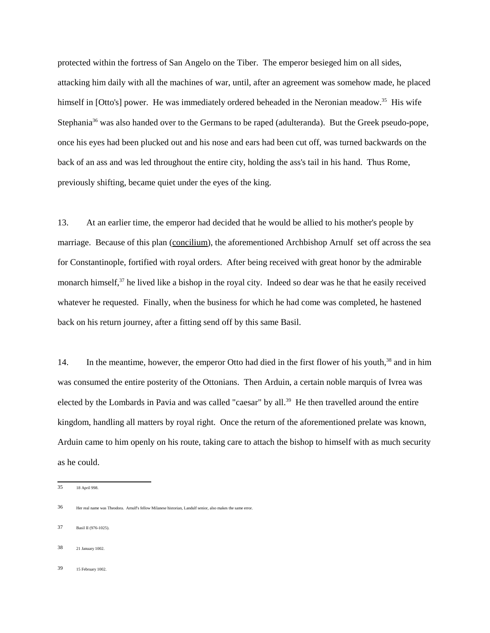protected within the fortress of San Angelo on the Tiber. The emperor besieged him on all sides, attacking him daily with all the machines of war, until, after an agreement was somehow made, he placed himself in [Otto's] power. He was immediately ordered beheaded in the Neronian meadow.<sup>35</sup> His wife Stephania<sup>36</sup> was also handed over to the Germans to be raped (adulteranda). But the Greek pseudo-pope, once his eyes had been plucked out and his nose and ears had been cut off, was turned backwards on the back of an ass and was led throughout the entire city, holding the ass's tail in his hand. Thus Rome, previously shifting, became quiet under the eyes of the king.

13. At an earlier time, the emperor had decided that he would be allied to his mother's people by marriage. Because of this plan (concilium), the aforementioned Archbishop Arnulf set off across the sea for Constantinople, fortified with royal orders. After being received with great honor by the admirable monarch himself,<sup>37</sup> he lived like a bishop in the royal city. Indeed so dear was he that he easily received whatever he requested. Finally, when the business for which he had come was completed, he hastened back on his return journey, after a fitting send off by this same Basil.

14. In the meantime, however, the emperor Otto had died in the first flower of his youth,<sup>38</sup> and in him was consumed the entire posterity of the Ottonians. Then Arduin, a certain noble marquis of Ivrea was elected by the Lombards in Pavia and was called "caesar" by all.<sup>39</sup> He then travelled around the entire kingdom, handling all matters by royal right. Once the return of the aforementioned prelate was known, Arduin came to him openly on his route, taking care to attach the bishop to himself with as much security as he could.

- 37 Basil II (976-1025).
- 38 21 January 1002.
- 39 15 February 1002.

<sup>35 18</sup> April 998.

<sup>36</sup> Her real name was Theodora. Arnulf's fellow Milanese historian, Landulf senior, also makes the same error.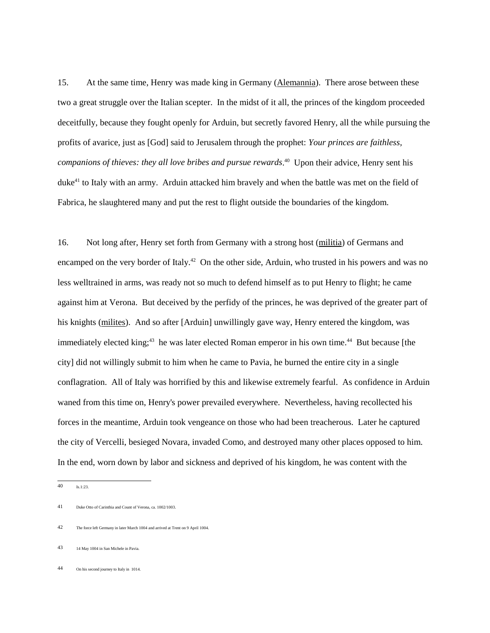15. At the same time, Henry was made king in Germany (Alemannia). There arose between these two a great struggle over the Italian scepter. In the midst of it all, the princes of the kingdom proceeded deceitfully, because they fought openly for Arduin, but secretly favored Henry, all the while pursuing the profits of avarice, just as [God] said to Jerusalem through the prophet: *Your princes are faithless, companions of thieves: they all love bribes and pursue rewards*. 40 Upon their advice, Henry sent his duke<sup>41</sup> to Italy with an army. Arduin attacked him bravely and when the battle was met on the field of Fabrica, he slaughtered many and put the rest to flight outside the boundaries of the kingdom.

16. Not long after, Henry set forth from Germany with a strong host (militia) of Germans and encamped on the very border of Italy.<sup>42</sup> On the other side, Arduin, who trusted in his powers and was no less welltrained in arms, was ready not so much to defend himself as to put Henry to flight; he came against him at Verona. But deceived by the perfidy of the princes, he was deprived of the greater part of his knights (milites). And so after [Arduin] unwillingly gave way, Henry entered the kingdom, was immediately elected king;<sup>43</sup> he was later elected Roman emperor in his own time.<sup>44</sup> But because [the city] did not willingly submit to him when he came to Pavia, he burned the entire city in a single conflagration. All of Italy was horrified by this and likewise extremely fearful. As confidence in Arduin waned from this time on, Henry's power prevailed everywhere. Nevertheless, having recollected his forces in the meantime, Arduin took vengeance on those who had been treacherous. Later he captured the city of Vercelli, besieged Novara, invaded Como, and destroyed many other places opposed to him. In the end, worn down by labor and sickness and deprived of his kingdom, he was content with the

<sup>40</sup> Is.1:23.

<sup>41</sup> Duke Otto of Carinthia and Count of Verona, ca. 1002/1003.

<sup>42</sup> The force left Germany in later March 1004 and arrived at Trent on 9 April 1004.

<sup>43 14</sup> May 1004 in San Michele in Pavia.

<sup>44</sup> On his second journey to Italy in 1014.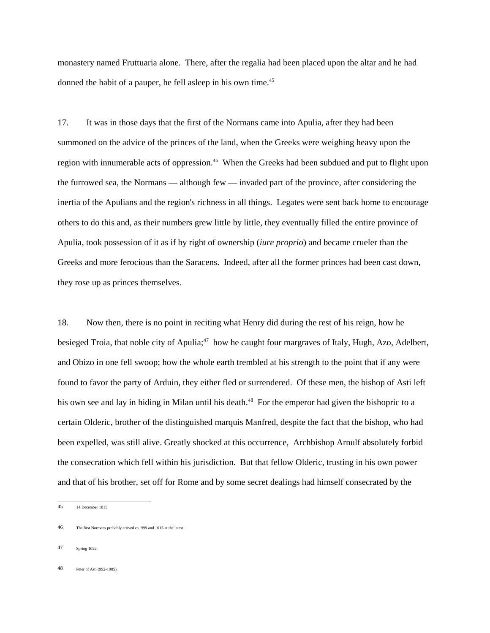monastery named Fruttuaria alone. There, after the regalia had been placed upon the altar and he had donned the habit of a pauper, he fell asleep in his own time.<sup>45</sup>

17. It was in those days that the first of the Normans came into Apulia, after they had been summoned on the advice of the princes of the land, when the Greeks were weighing heavy upon the region with innumerable acts of oppression.<sup>46</sup> When the Greeks had been subdued and put to flight upon the furrowed sea, the Normans — although few — invaded part of the province, after considering the inertia of the Apulians and the region's richness in all things. Legates were sent back home to encourage others to do this and, as their numbers grew little by little, they eventually filled the entire province of Apulia, took possession of it as if by right of ownership (*iure proprio*) and became crueler than the Greeks and more ferocious than the Saracens. Indeed, after all the former princes had been cast down, they rose up as princes themselves.

18. Now then, there is no point in reciting what Henry did during the rest of his reign, how he besieged Troia, that noble city of Apulia;<sup>47</sup> how he caught four margraves of Italy, Hugh, Azo, Adelbert, and Obizo in one fell swoop; how the whole earth trembled at his strength to the point that if any were found to favor the party of Arduin, they either fled or surrendered. Of these men, the bishop of Asti left his own see and lay in hiding in Milan until his death.<sup>48</sup> For the emperor had given the bishopric to a certain Olderic, brother of the distinguished marquis Manfred, despite the fact that the bishop, who had been expelled, was still alive. Greatly shocked at this occurrence, Archbishop Arnulf absolutely forbid the consecration which fell within his jurisdiction. But that fellow Olderic, trusting in his own power and that of his brother, set off for Rome and by some secret dealings had himself consecrated by the

<sup>45 14</sup> December 1015.

<sup>46</sup> The first Normans probably arrived ca. 999 and 1015 at the latest.

<sup>47</sup> Spring 1022.

<sup>48</sup> Peter of Asti (992-1005).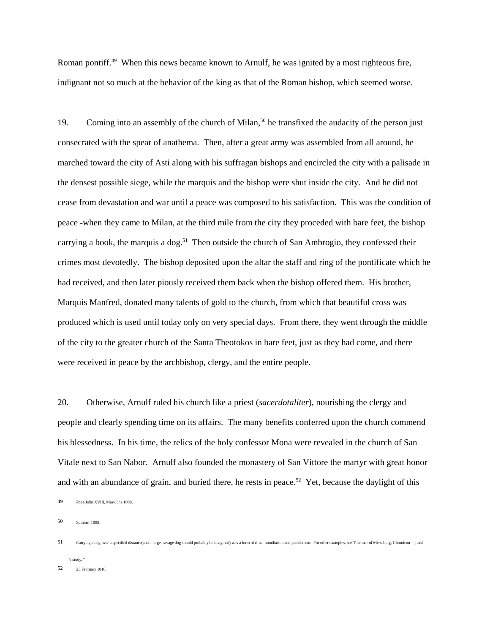Roman pontiff.<sup>49</sup> When this news became known to Arnulf, he was ignited by a most righteous fire, indignant not so much at the behavior of the king as that of the Roman bishop, which seemed worse.

19. Coming into an assembly of the church of Milan,<sup>50</sup> he transfixed the audacity of the person just consecrated with the spear of anathema. Then, after a great army was assembled from all around, he marched toward the city of Asti along with his suffragan bishops and encircled the city with a palisade in the densest possible siege, while the marquis and the bishop were shut inside the city. And he did not cease from devastation and war until a peace was composed to his satisfaction. This was the condition of peace -when they came to Milan, at the third mile from the city they proceded with bare feet, the bishop carrying a book, the marquis a dog.<sup>51</sup> Then outside the church of San Ambrogio, they confessed their crimes most devotedly. The bishop deposited upon the altar the staff and ring of the pontificate which he had received, and then later piously received them back when the bishop offered them. His brother, Marquis Manfred, donated many talents of gold to the church, from which that beautiful cross was produced which is used until today only on very special days. From there, they went through the middle of the city to the greater church of the Santa Theotokos in bare feet, just as they had come, and there were received in peace by the archbishop, clergy, and the entire people.

20. Otherwise, Arnulf ruled his church like a priest (*sacerdotaliter*), nourishing the clergy and people and clearly spending time on its affairs. The many benefits conferred upon the church commend his blessedness. In his time, the relics of the holy confessor Mona were revealed in the church of San Vitale next to San Nabor. Arnulf also founded the monastery of San Vittore the martyr with great honor and with an abundance of grain, and buried there, he rests in peace.<sup>52</sup> Yet, because the daylight of this

50 Summer 1008.

's study, "

<sup>49</sup> Pope John XVIII, May-June 1008.

<sup>51</sup> Carrying a dog over a specified distance(and a large, savage dog should probably be imagined) was a form of ritual humiliation and punishment. For other examples, see Thietmar of Merseburg, Chronicon ; and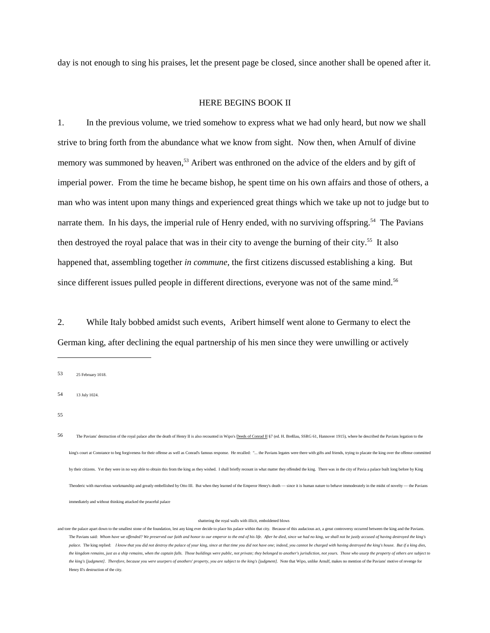day is not enough to sing his praises, let the present page be closed, since another shall be opened after it.

## HERE BEGINS BOOK II

1. In the previous volume, we tried somehow to express what we had only heard, but now we shall strive to bring forth from the abundance what we know from sight. Now then, when Arnulf of divine memory was summoned by heaven,<sup>53</sup> Aribert was enthroned on the advice of the elders and by gift of imperial power. From the time he became bishop, he spent time on his own affairs and those of others, a man who was intent upon many things and experienced great things which we take up not to judge but to narrate them. In his days, the imperial rule of Henry ended, with no surviving offspring.<sup>54</sup> The Pavians then destroyed the royal palace that was in their city to avenge the burning of their city.<sup>55</sup> It also happened that, assembling together *in commune*, the first citizens discussed establishing a king. But since different issues pulled people in different directions, everyone was not of the same mind.<sup>56</sup>

2. While Italy bobbed amidst such events, Aribert himself went alone to Germany to elect the German king, after declining the equal partnership of his men since they were unwilling or actively

53 25 February 1018.

55

#### shattering the royal walls with illicit, emboldened blows

<sup>54 13</sup> July 1024.

<sup>56</sup> The Pavians' destruction of the royal palace after the death of Henry II is also recounted in Wipo's Deeds of Conrad II §7 (ed. H. Breßlau, SSRG 61, Hannover 1915), where he described the Pavians legation to the king's court at Constance to beg forgiveness for their offense as well as Conrad's famous response. He recalled: "... the Pavians legates were there with gifts and friends, trying to placate the king over the offense commi by their citizens. Yet they were in no way able to obtain this from the king as they wished. I shall briefly recount in what matter they offended the king. There was in the city of Pavia a palace built long before by King Theoderic with marvelous workmanship and greatly embellished by Otto III. But when they learned of the Emperor Henry's death — since it is human nature to behave immoderately in the midst of novelty — the Pavians immediately and without thinking attacked the peaceful palace

and tore the palace apart down to the smallest stone of the foundation, lest any king ever decide to place his palace within that city. Because of this audacious act, a great controversy occurred between the king and the P The Pavians said: *Whom have we offended? We preserved our faith and honor to our emperor to the end of his life. After he died, since we had no king, we shall not be justly accused of having destroyed the king's* palace. The king replied: I know that you did not destroy the palace of your king, since at that time you did not have one; indeed, you cannot be charged with having destroyed the king's house. But if a king dies, *the kingdom remains, just as a ship remains, when the captain falls. Those buildings were public, not private; they belonged to another's jurisdiction, not yours. Those who usurp the property of others are subject to the king's [judgment]. Therefore, because you were usurpers of anothers' property, you are subject to the king's <i>[judgment]*. Note that Wipo, unlike Arnulf, makes no mention of the Pavians' motive of revenge for Henry II's destruction of the city.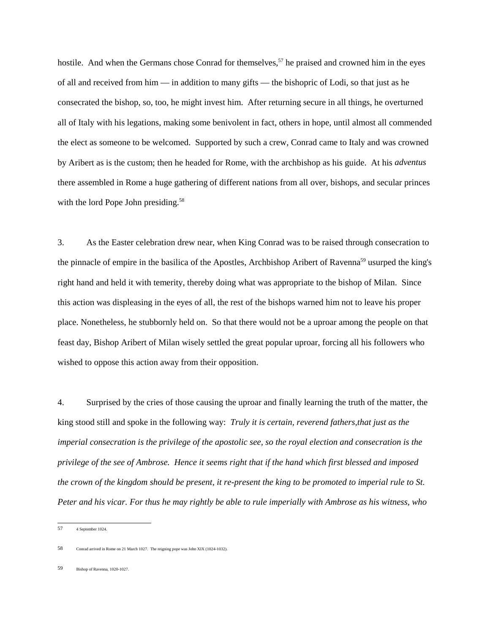hostile. And when the Germans chose Conrad for themselves,<sup>57</sup> he praised and crowned him in the eyes of all and received from him — in addition to many gifts — the bishopric of Lodi, so that just as he consecrated the bishop, so, too, he might invest him. After returning secure in all things, he overturned all of Italy with his legations, making some benivolent in fact, others in hope, until almost all commended the elect as someone to be welcomed. Supported by such a crew, Conrad came to Italy and was crowned by Aribert as is the custom; then he headed for Rome, with the archbishop as his guide. At his *adventus* there assembled in Rome a huge gathering of different nations from all over, bishops, and secular princes with the lord Pope John presiding.<sup>58</sup>

3. As the Easter celebration drew near, when King Conrad was to be raised through consecration to the pinnacle of empire in the basilica of the Apostles, Archbishop Aribert of Ravenna<sup>59</sup> usurped the king's right hand and held it with temerity, thereby doing what was appropriate to the bishop of Milan. Since this action was displeasing in the eyes of all, the rest of the bishops warned him not to leave his proper place. Nonetheless, he stubbornly held on. So that there would not be a uproar among the people on that feast day, Bishop Aribert of Milan wisely settled the great popular uproar, forcing all his followers who wished to oppose this action away from their opposition.

4. Surprised by the cries of those causing the uproar and finally learning the truth of the matter, the king stood still and spoke in the following way: *Truly it is certain, reverend fathers,that just as the imperial consecration is the privilege of the apostolic see, so the royal election and consecration is the privilege of the see of Ambrose. Hence it seems right that if the hand which first blessed and imposed the crown of the kingdom should be present, it re-present the king to be promoted to imperial rule to St. Peter and his vicar. For thus he may rightly be able to rule imperially with Ambrose as his witness, who*

<sup>57 4</sup> September 1024.

<sup>58</sup> Conrad arrived in Rome on 21 March 1027. The reigning pope was John XIX (1024-1032).

<sup>59</sup> Bishop of Ravenna, 1020-1027.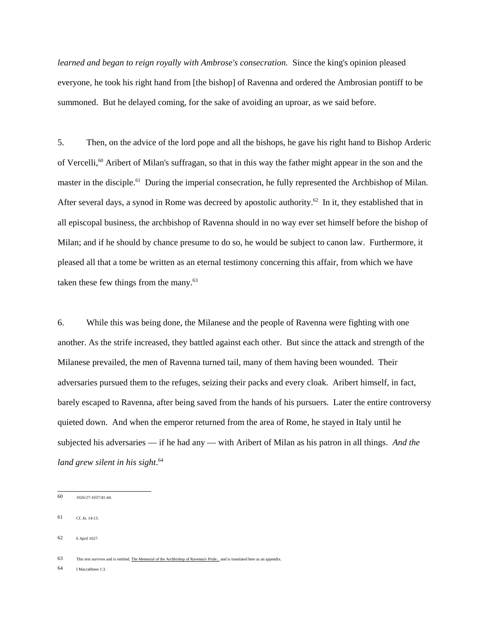*learned and began to reign royally with Ambrose's consecration.* Since the king's opinion pleased everyone, he took his right hand from [the bishop] of Ravenna and ordered the Ambrosian pontiff to be summoned. But he delayed coming, for the sake of avoiding an uproar, as we said before.

5. Then, on the advice of the lord pope and all the bishops, he gave his right hand to Bishop Arderic of Vercelli,<sup>60</sup> Aribert of Milan's suffragan, so that in this way the father might appear in the son and the master in the disciple.<sup>61</sup> During the imperial consecration, he fully represented the Archbishop of Milan. After several days, a synod in Rome was decreed by apostolic authority.<sup>62</sup> In it, they established that in all episcopal business, the archbishop of Ravenna should in no way ever set himself before the bishop of Milan; and if he should by chance presume to do so, he would be subject to canon law. Furthermore, it pleased all that a tome be written as an eternal testimony concerning this affair, from which we have taken these few things from the many.<sup>63</sup>

6. While this was being done, the Milanese and the people of Ravenna were fighting with one another. As the strife increased, they battled against each other. But since the attack and strength of the Milanese prevailed, the men of Ravenna turned tail, many of them having been wounded. Their adversaries pursued them to the refuges, seizing their packs and every cloak. Aribert himself, in fact, barely escaped to Ravenna, after being saved from the hands of his pursuers. Later the entire controversy quieted down. And when the emperor returned from the area of Rome, he stayed in Italy until he subjected his adversaries — if he had any — with Aribert of Milan as his patron in all things. *And the land grew silent in his sight*. 64

63 This text survives and is entitled, The Memorial of the Archbishop of Ravenna's Pride... and is translated here as an appendix

64 I Maccabbees 1:3.

<sup>60 1026/27-1037/41-44.</sup>

<sup>61</sup> Cf. Jn. 14:13.

<sup>62 6</sup> April 1027.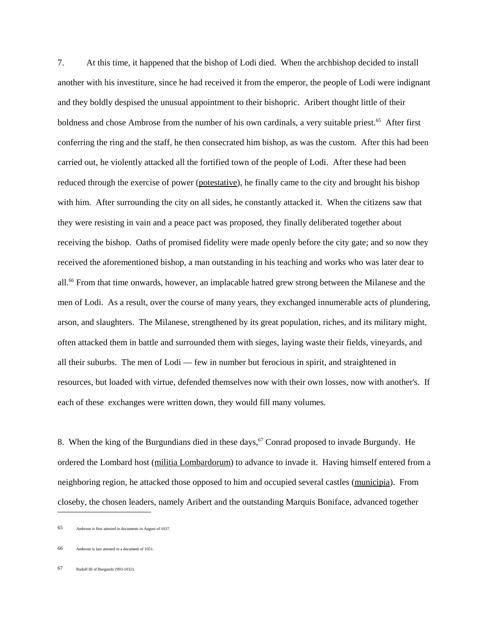7. At this time, it happened that the bishop of Lodi died. When the archbishop decided to install another with his investiture, since he had received it from the emperor, the people of Lodi were indignant and they boldly despised the unusual appointment to their bishopric. Aribert thought little of their boldness and chose Ambrose from the number of his own cardinals, a very suitable priest.<sup>65</sup> After first conferring the ring and the staff, he then consecrated him bishop, as was the custom. After this had been carried out, he violently attacked all the fortified town of the people of Lodi. After these had been reduced through the exercise of power (potestative), he finally came to the city and brought his bishop with him. After surrounding the city on all sides, he constantly attacked it. When the citizens saw that they were resisting in vain and a peace pact was proposed, they finally deliberated together about receiving the bishop. Oaths of promised fidelity were made openly before the city gate; and so now they received the aforementioned bishop, a man outstanding in his teaching and works who was later dear to all.<sup>66</sup> From that time onwards, however, an implacable hatred grew strong between the Milanese and the men of Lodi. As a result, over the course of many years, they exchanged innumerable acts of plundering, arson, and slaughters. The Milanese, strengthened by its great population, riches, and its military might, often attacked them in battle and surrounded them with sieges, laying waste their fields, vineyards, and all their suburbs. The men of Lodi — few in number but ferocious in spirit, and straightened in resources, but loaded with virtue, defended themselves now with their own losses, now with another's. If each of these exchanges were written down, they would fill many volumes.

8. When the king of the Burgundians died in these days,  $67$  Conrad proposed to invade Burgundy. He ordered the Lombard host (militia Lombardorum) to advance to invade it. Having himself entered from a neighboring region, he attacked those opposed to him and occupied several castles (municipia). From closeby, the chosen leaders, namely Aribert and the outstanding Marquis Boniface, advanced together

<sup>65</sup> Ambrose is first attested in documents in August of 1037.

<sup>66</sup> Ambrose is last attested in a document of 1051.

<sup>67</sup> Rudolf III of Burgundy (993-1032).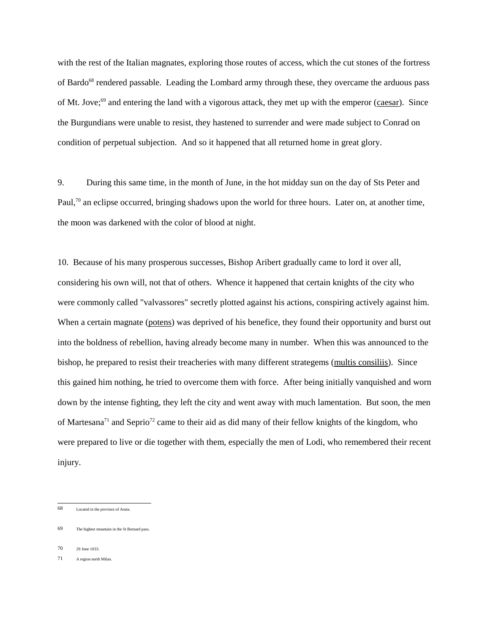with the rest of the Italian magnates, exploring those routes of access, which the cut stones of the fortress of Bardo<sup>68</sup> rendered passable. Leading the Lombard army through these, they overcame the arduous pass of Mt. Jove;<sup>69</sup> and entering the land with a vigorous attack, they met up with the emperor (caesar). Since the Burgundians were unable to resist, they hastened to surrender and were made subject to Conrad on condition of perpetual subjection. And so it happened that all returned home in great glory.

9. During this same time, in the month of June, in the hot midday sun on the day of Sts Peter and Paul,<sup>70</sup> an eclipse occurred, bringing shadows upon the world for three hours. Later on, at another time, the moon was darkened with the color of blood at night.

10. Because of his many prosperous successes, Bishop Aribert gradually came to lord it over all, considering his own will, not that of others. Whence it happened that certain knights of the city who were commonly called "valvassores" secretly plotted against his actions, conspiring actively against him. When a certain magnate (potens) was deprived of his benefice, they found their opportunity and burst out into the boldness of rebellion, having already become many in number. When this was announced to the bishop, he prepared to resist their treacheries with many different strategems (multis consiliis). Since this gained him nothing, he tried to overcome them with force. After being initially vanquished and worn down by the intense fighting, they left the city and went away with much lamentation. But soon, the men of Martesana<sup>71</sup> and Seprio<sup>72</sup> came to their aid as did many of their fellow knights of the kingdom, who were prepared to live or die together with them, especially the men of Lodi, who remembered their recent injury.

70 29 June 1033.

<sup>68</sup> Located in the province of Aosta.

<sup>69</sup> The highest mountain in the St Bernard pass.

<sup>71</sup> A region north Milan.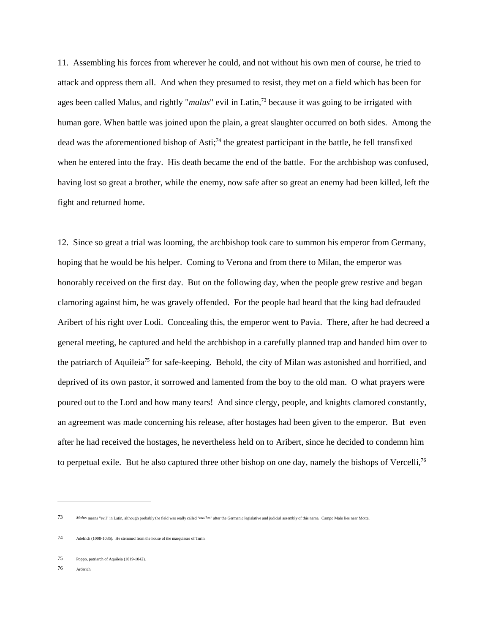11. Assembling his forces from wherever he could, and not without his own men of course, he tried to attack and oppress them all. And when they presumed to resist, they met on a field which has been for ages been called Malus, and rightly "*malus*" evil in Latin,73 because it was going to be irrigated with human gore. When battle was joined upon the plain, a great slaughter occurred on both sides. Among the dead was the aforementioned bishop of Asti;74 the greatest participant in the battle, he fell transfixed when he entered into the fray. His death became the end of the battle. For the archbishop was confused, having lost so great a brother, while the enemy, now safe after so great an enemy had been killed, left the fight and returned home.

12. Since so great a trial was looming, the archbishop took care to summon his emperor from Germany, hoping that he would be his helper. Coming to Verona and from there to Milan, the emperor was honorably received on the first day. But on the following day, when the people grew restive and began clamoring against him, he was gravely offended. For the people had heard that the king had defrauded Aribert of his right over Lodi. Concealing this, the emperor went to Pavia. There, after he had decreed a general meeting, he captured and held the archbishop in a carefully planned trap and handed him over to the patriarch of Aquileia<sup>75</sup> for safe-keeping. Behold, the city of Milan was astonished and horrified, and deprived of its own pastor, it sorrowed and lamented from the boy to the old man. O what prayers were poured out to the Lord and how many tears! And since clergy, people, and knights clamored constantly, an agreement was made concerning his release, after hostages had been given to the emperor. But even after he had received the hostages, he nevertheless held on to Aribert, since he decided to condemn him to perpetual exile. But he also captured three other bishop on one day, namely the bishops of Vercelli,<sup>76</sup>

76 Arderich.

<sup>73</sup> *Malus* means "evil" in Latin, although probably the field was really called "*mallus*" after the Germanic legislative and judicial assembly of this name. Campo Malo lies near Motta.

<sup>74</sup> Adelrich (1008-1035). He stemmed from the house of the marquisses of Turin.

<sup>75</sup> Poppo, patriarch of Aquileia (1019-1042).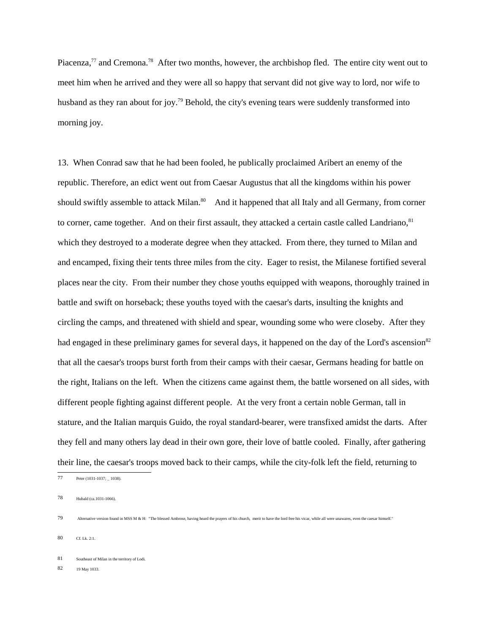Piacenza,<sup>77</sup> and Cremona.<sup>78</sup> After two months, however, the archbishop fled. The entire city went out to meet him when he arrived and they were all so happy that servant did not give way to lord, nor wife to husband as they ran about for joy.<sup>79</sup> Behold, the city's evening tears were suddenly transformed into morning joy.

13. When Conrad saw that he had been fooled, he publically proclaimed Aribert an enemy of the republic. Therefore, an edict went out from Caesar Augustus that all the kingdoms within his power should swiftly assemble to attack Milan.<sup>80</sup> And it happened that all Italy and all Germany, from corner to corner, came together. And on their first assault, they attacked a certain castle called Landriano, <sup>81</sup> which they destroyed to a moderate degree when they attacked. From there, they turned to Milan and and encamped, fixing their tents three miles from the city. Eager to resist, the Milanese fortified several places near the city. From their number they chose youths equipped with weapons, thoroughly trained in battle and swift on horseback; these youths toyed with the caesar's darts, insulting the knights and circling the camps, and threatened with shield and spear, wounding some who were closeby. After they had engaged in these preliminary games for several days, it happened on the day of the Lord's ascension<sup>82</sup> that all the caesar's troops burst forth from their camps with their caesar, Germans heading for battle on the right, Italians on the left. When the citizens came against them, the battle worsened on all sides, with different people fighting against different people. At the very front a certain noble German, tall in stature, and the Italian marquis Guido, the royal standard-bearer, were transfixed amidst the darts. After they fell and many others lay dead in their own gore, their love of battle cooled. Finally, after gathering their line, the caesar's troops moved back to their camps, while the city-folk left the field, returning to

77 Peter (1031-1037; \_ 1038).

78 Hubald (ca.1031-1066).

80 Cf. Lk. 2:1.

82 19 May 1033.

<sup>79</sup> Alternative version found in MSS M & H: "The blessed Ambrose, having heard the prayers of his church, merit to have the lord free his vicar, while all were unawares, even the caesar himself."

<sup>81</sup> Southeast of Milan in the territory of Lodi.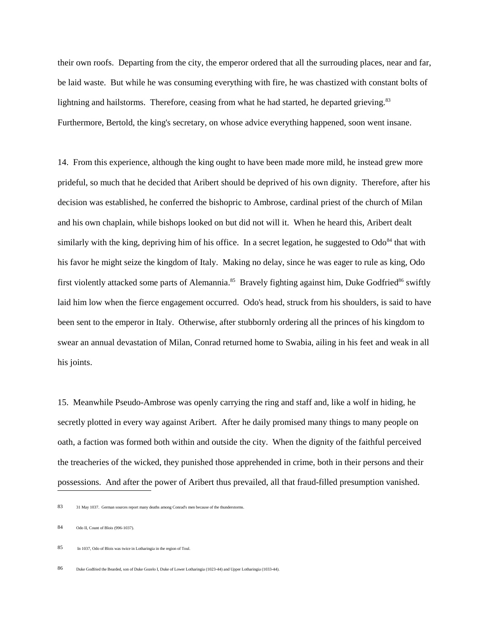their own roofs. Departing from the city, the emperor ordered that all the surrouding places, near and far, be laid waste. But while he was consuming everything with fire, he was chastized with constant bolts of lightning and hailstorms. Therefore, ceasing from what he had started, he departed grieving. $83$ Furthermore, Bertold, the king's secretary, on whose advice everything happened, soon went insane.

14. From this experience, although the king ought to have been made more mild, he instead grew more prideful, so much that he decided that Aribert should be deprived of his own dignity. Therefore, after his decision was established, he conferred the bishopric to Ambrose, cardinal priest of the church of Milan and his own chaplain, while bishops looked on but did not will it. When he heard this, Aribert dealt similarly with the king, depriving him of his office. In a secret legation, he suggested to  $Od\sigma^{84}$  that with his favor he might seize the kingdom of Italy. Making no delay, since he was eager to rule as king, Odo first violently attacked some parts of Alemannia.<sup>85</sup> Bravely fighting against him, Duke Godfried<sup>86</sup> swiftly laid him low when the fierce engagement occurred. Odo's head, struck from his shoulders, is said to have been sent to the emperor in Italy. Otherwise, after stubbornly ordering all the princes of his kingdom to swear an annual devastation of Milan, Conrad returned home to Swabia, ailing in his feet and weak in all his joints.

15. Meanwhile Pseudo-Ambrose was openly carrying the ring and staff and, like a wolf in hiding, he secretly plotted in every way against Aribert. After he daily promised many things to many people on oath, a faction was formed both within and outside the city. When the dignity of the faithful perceived the treacheries of the wicked, they punished those apprehended in crime, both in their persons and their possessions. And after the power of Aribert thus prevailed, all that fraud-filled presumption vanished.

<sup>83 31</sup> May 1037. German sources report many deaths among Conrad's men because of the thunderstorms.

<sup>84</sup> Odo II, Count of Blois (996-1037).

<sup>85</sup> In 1037, Odo of Blois was twice in Lotharingia in the region of Toul.

<sup>86</sup> Duke Godfried the Bearded, son of Duke Gozelo I, Duke of Lower Lotharingia (1023-44) and Upper Lotharingia (1033-44).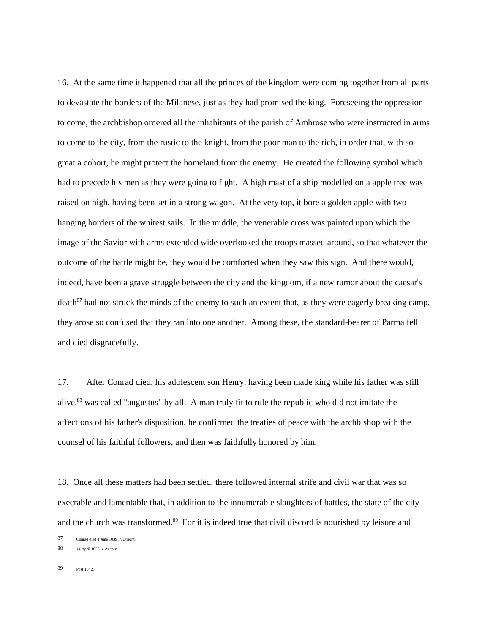16. At the same time it happened that all the princes of the kingdom were coming together from all parts to devastate the borders of the Milanese, just as they had promised the king. Foreseeing the oppression to come, the archbishop ordered all the inhabitants of the parish of Ambrose who were instructed in arms to come to the city, from the rustic to the knight, from the poor man to the rich, in order that, with so great a cohort, he might protect the homeland from the enemy. He created the following symbol which had to precede his men as they were going to fight. A high mast of a ship modelled on a apple tree was raised on high, having been set in a strong wagon. At the very top, it bore a golden apple with two hanging borders of the whitest sails. In the middle, the venerable cross was painted upon which the image of the Savior with arms extended wide overlooked the troops massed around, so that whatever the outcome of the battle might be, they would be comforted when they saw this sign. And there would, indeed, have been a grave struggle between the city and the kingdom, if a new rumor about the caesar's death $^{87}$  had not struck the minds of the enemy to such an extent that, as they were eagerly breaking camp, they arose so confused that they ran into one another. Among these, the standard-bearer of Parma fell and died disgracefully.

17. After Conrad died, his adolescent son Henry, having been made king while his father was still alive,<sup>88</sup> was called "augustus" by all. A man truly fit to rule the republic who did not imitate the affections of his father's disposition, he confirmed the treaties of peace with the archbishop with the counsel of his faithful followers, and then was faithfully honored by him.

18. Once all these matters had been settled, there followed internal strife and civil war that was so execrable and lamentable that, in addition to the innumerable slaughters of battles, the state of the city and the church was transformed.<sup>89</sup> For it is indeed true that civil discord is nourished by leisure and

<sup>87</sup> Conrad died 4 June 1039 in Utrecht.

<sup>88 14</sup> April 1028 in Aachen.

<sup>89</sup> Post 1042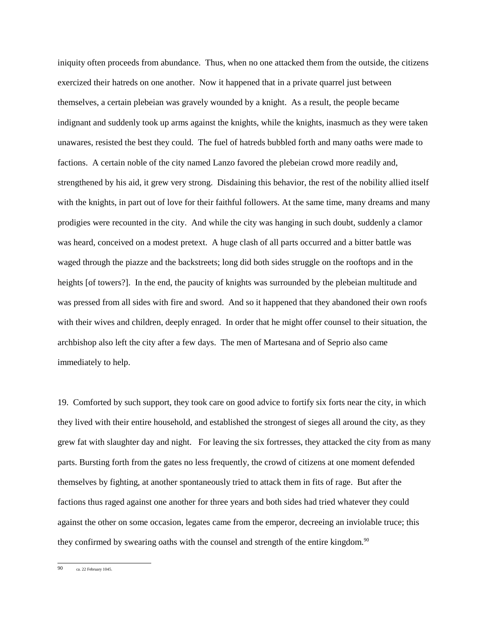iniquity often proceeds from abundance. Thus, when no one attacked them from the outside, the citizens exercized their hatreds on one another. Now it happened that in a private quarrel just between themselves, a certain plebeian was gravely wounded by a knight. As a result, the people became indignant and suddenly took up arms against the knights, while the knights, inasmuch as they were taken unawares, resisted the best they could. The fuel of hatreds bubbled forth and many oaths were made to factions. A certain noble of the city named Lanzo favored the plebeian crowd more readily and, strengthened by his aid, it grew very strong. Disdaining this behavior, the rest of the nobility allied itself with the knights, in part out of love for their faithful followers. At the same time, many dreams and many prodigies were recounted in the city. And while the city was hanging in such doubt, suddenly a clamor was heard, conceived on a modest pretext. A huge clash of all parts occurred and a bitter battle was waged through the piazze and the backstreets; long did both sides struggle on the rooftops and in the heights [of towers?]. In the end, the paucity of knights was surrounded by the plebeian multitude and was pressed from all sides with fire and sword. And so it happened that they abandoned their own roofs with their wives and children, deeply enraged. In order that he might offer counsel to their situation, the archbishop also left the city after a few days. The men of Martesana and of Seprio also came immediately to help.

19. Comforted by such support, they took care on good advice to fortify six forts near the city, in which they lived with their entire household, and established the strongest of sieges all around the city, as they grew fat with slaughter day and night. For leaving the six fortresses, they attacked the city from as many parts. Bursting forth from the gates no less frequently, the crowd of citizens at one moment defended themselves by fighting, at another spontaneously tried to attack them in fits of rage. But after the factions thus raged against one another for three years and both sides had tried whatever they could against the other on some occasion, legates came from the emperor, decreeing an inviolable truce; this they confirmed by swearing oaths with the counsel and strength of the entire kingdom.<sup>90</sup>

90 ca. 22 February 1045.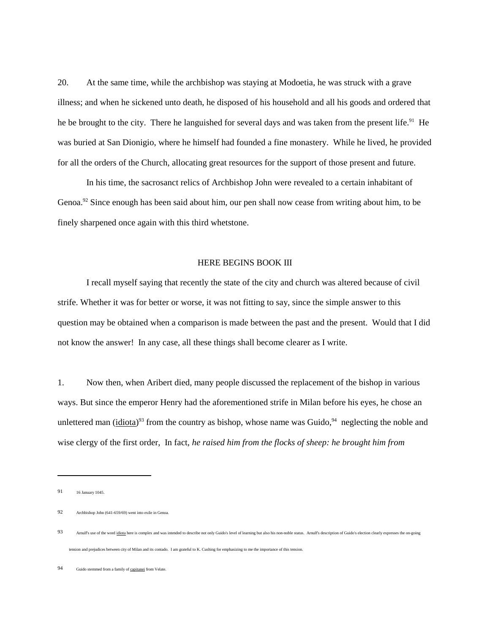20. At the same time, while the archbishop was staying at Modoetia, he was struck with a grave illness; and when he sickened unto death, he disposed of his household and all his goods and ordered that he be brought to the city. There he languished for several days and was taken from the present life.<sup>91</sup> He was buried at San Dionigio, where he himself had founded a fine monastery. While he lived, he provided for all the orders of the Church, allocating great resources for the support of those present and future.

In his time, the sacrosanct relics of Archbishop John were revealed to a certain inhabitant of Genoa.<sup>92</sup> Since enough has been said about him, our pen shall now cease from writing about him, to be finely sharpened once again with this third whetstone.

#### HERE BEGINS BOOK III

I recall myself saying that recently the state of the city and church was altered because of civil strife. Whether it was for better or worse, it was not fitting to say, since the simple answer to this question may be obtained when a comparison is made between the past and the present. Would that I did not know the answer! In any case, all these things shall become clearer as I write.

1. Now then, when Aribert died, many people discussed the replacement of the bishop in various ways. But since the emperor Henry had the aforementioned strife in Milan before his eyes, he chose an unlettered man ( $\frac{i \text{diota}}{2}$ <sup>93</sup> from the country as bishop, whose name was Guido, <sup>94</sup> neglecting the noble and wise clergy of the first order, In fact, *he raised him from the flocks of sheep: he brought him from*

<sup>91 16</sup> January 1045.

<sup>92</sup> Archbishop John (641-659/69) went into exile in Genoa.

<sup>93</sup> Arnulf's use of the word idiota here is complex and was intended to describe not only Guido's level of learning but also his non-noble status. Arnulf's description of Guido's election clearly expresses the on-going tension and prejudices between city of Milan and its contado. I am grateful to K. Cushing for emphasizing to me the importance of this tension.

<sup>94</sup> Guido stemmed from a family of capitanei from Velate.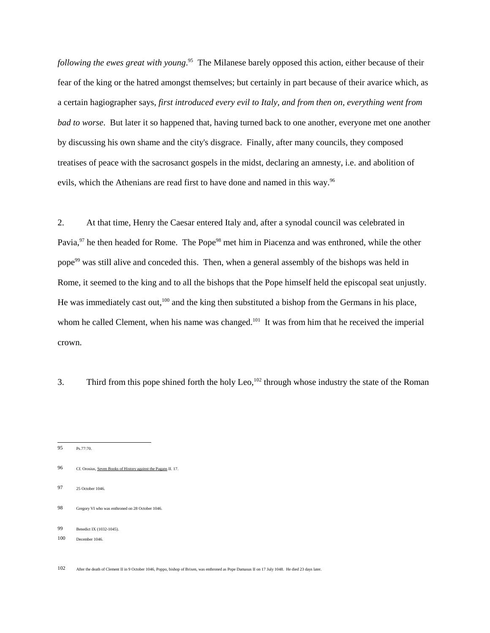*following the ewes great with young*. 95 The Milanese barely opposed this action, either because of their fear of the king or the hatred amongst themselves; but certainly in part because of their avarice which, as a certain hagiographer says, *first introduced every evil to Italy, and from then on, everything went from bad to worse*. But later it so happened that, having turned back to one another, everyone met one another by discussing his own shame and the city's disgrace. Finally, after many councils, they composed treatises of peace with the sacrosanct gospels in the midst, declaring an amnesty, i.e. and abolition of evils, which the Athenians are read first to have done and named in this way.<sup>96</sup>

2. At that time, Henry the Caesar entered Italy and, after a synodal council was celebrated in Pavia,<sup>97</sup> he then headed for Rome. The Pope<sup>98</sup> met him in Piacenza and was enthroned, while the other pope<sup>99</sup> was still alive and conceded this. Then, when a general assembly of the bishops was held in Rome, it seemed to the king and to all the bishops that the Pope himself held the episcopal seat unjustly. He was immediately cast out,<sup>100</sup> and the king then substituted a bishop from the Germans in his place, whom he called Clement, when his name was changed.<sup>101</sup> It was from him that he received the imperial crown.

3. Third from this pope shined forth the holy Leo,<sup>102</sup> through whose industry the state of the Roman

- 95 Ps.77:70.
- 96 Cf. Orosius, Seven Books of History against the Pagans II. 17.
- 97 25 October 1046.
- 98 Gregory VI who was enthroned on 28 October 1046.
- 99 Benedict IX (1032-1045).
- 100 December 1046.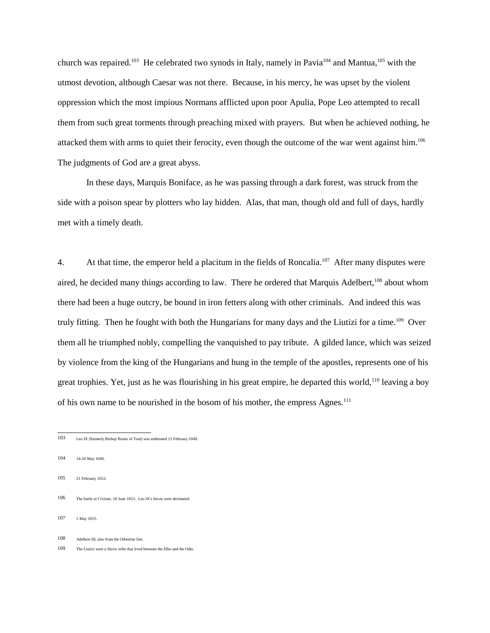church was repaired.<sup>103</sup> He celebrated two synods in Italy, namely in Pavia<sup>104</sup> and Mantua,<sup>105</sup> with the utmost devotion, although Caesar was not there. Because, in his mercy, he was upset by the violent oppression which the most impious Normans afflicted upon poor Apulia, Pope Leo attempted to recall them from such great torments through preaching mixed with prayers. But when he achieved nothing, he attacked them with arms to quiet their ferocity, even though the outcome of the war went against him.<sup>106</sup> The judgments of God are a great abyss.

In these days, Marquis Boniface, as he was passing through a dark forest, was struck from the side with a poison spear by plotters who lay hidden. Alas, that man, though old and full of days, hardly met with a timely death.

4. At that time, the emperor held a placitum in the fields of Roncalia.<sup>107</sup> After many disputes were aired, he decided many things according to law. There he ordered that Marquis Adelbert,<sup>108</sup> about whom there had been a huge outcry, be bound in iron fetters along with other criminals. And indeed this was truly fitting. Then he fought with both the Hungarians for many days and the Liutizi for a time.109 Over them all he triumphed nobly, compelling the vanquished to pay tribute. A gilded lance, which was seized by violence from the king of the Hungarians and hung in the temple of the apostles, represents one of his great trophies. Yet, just as he was flourishing in his great empire, he departed this world,<sup>110</sup> leaving a boy of his own name to be nourished in the bosom of his mother, the empress Agnes.<sup>111</sup>

- 106 The battle at Civitate, 18 June 1053. Leo IX's forces were decimated.
- 107 5 May 1055.
- 108 Adelbert III, also from the Otbertine line.
- 109 The Liutizi were a Slavic tribe that lived between the Elbe and the Oder.

<sup>103</sup> Leo IX (formerly Bishop Bruno of Toul) was enthroned 12 February 1049.

<sup>104 14-20</sup> May 1049.

<sup>105 21</sup> February 1053.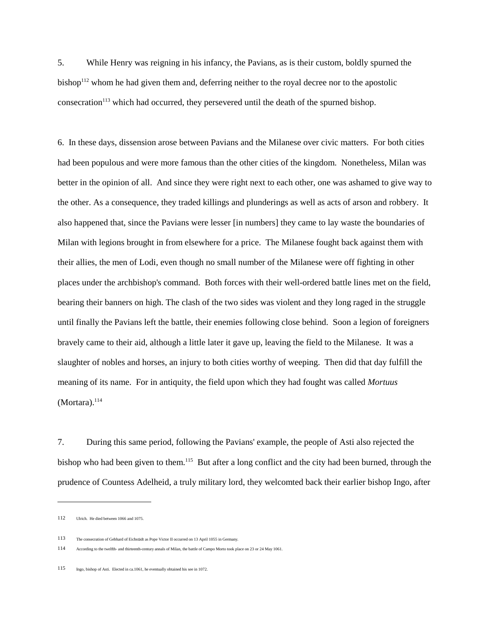5. While Henry was reigning in his infancy, the Pavians, as is their custom, boldly spurned the bishop<sup>112</sup> whom he had given them and, deferring neither to the royal decree nor to the apostolic consecration<sup>113</sup> which had occurred, they persevered until the death of the spurned bishop.

6. In these days, dissension arose between Pavians and the Milanese over civic matters. For both cities had been populous and were more famous than the other cities of the kingdom. Nonetheless, Milan was better in the opinion of all. And since they were right next to each other, one was ashamed to give way to the other. As a consequence, they traded killings and plunderings as well as acts of arson and robbery. It also happened that, since the Pavians were lesser [in numbers] they came to lay waste the boundaries of Milan with legions brought in from elsewhere for a price. The Milanese fought back against them with their allies, the men of Lodi, even though no small number of the Milanese were off fighting in other places under the archbishop's command. Both forces with their well-ordered battle lines met on the field, bearing their banners on high. The clash of the two sides was violent and they long raged in the struggle until finally the Pavians left the battle, their enemies following close behind. Soon a legion of foreigners bravely came to their aid, although a little later it gave up, leaving the field to the Milanese. It was a slaughter of nobles and horses, an injury to both cities worthy of weeping. Then did that day fulfill the meaning of its name. For in antiquity, the field upon which they had fought was called *Mortuus*  $(Mortara).<sup>114</sup>$ 

7. During this same period, following the Pavians' example, the people of Asti also rejected the bishop who had been given to them.<sup>115</sup> But after a long conflict and the city had been burned, through the prudence of Countess Adelheid, a truly military lord, they welcomted back their earlier bishop Ingo, after

<sup>112</sup> Ulrich. He died between 1066 and 1075.

<sup>113</sup> The consecration of Gebhard of Eichstädt as Pope Victor II occurred on 13 April 1055 in Germany.

<sup>114</sup> According to the twelfth- and thirteenth-century annals of Milan, the battle of Campo Morto took place on 23 or 24 May 1061.

<sup>115</sup> Ingo, bishop of Asti. Elected in ca.1061, he eventually obtained his see in 1072.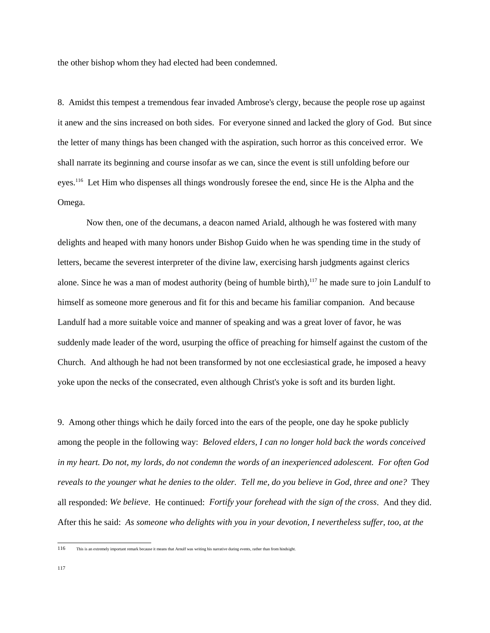the other bishop whom they had elected had been condemned.

8. Amidst this tempest a tremendous fear invaded Ambrose's clergy, because the people rose up against it anew and the sins increased on both sides. For everyone sinned and lacked the glory of God. But since the letter of many things has been changed with the aspiration, such horror as this conceived error. We shall narrate its beginning and course insofar as we can, since the event is still unfolding before our eyes.<sup>116</sup> Let Him who dispenses all things wondrously foresee the end, since He is the Alpha and the Omega.

Now then, one of the decumans, a deacon named Ariald, although he was fostered with many delights and heaped with many honors under Bishop Guido when he was spending time in the study of letters, became the severest interpreter of the divine law, exercising harsh judgments against clerics alone. Since he was a man of modest authority (being of humble birth),<sup>117</sup> he made sure to join Landulf to himself as someone more generous and fit for this and became his familiar companion. And because Landulf had a more suitable voice and manner of speaking and was a great lover of favor, he was suddenly made leader of the word, usurping the office of preaching for himself against the custom of the Church. And although he had not been transformed by not one ecclesiastical grade, he imposed a heavy yoke upon the necks of the consecrated, even although Christ's yoke is soft and its burden light.

9. Among other things which he daily forced into the ears of the people, one day he spoke publicly among the people in the following way: *Beloved elders, I can no longer hold back the words conceived in my heart. Do not, my lords, do not condemn the words of an inexperienced adolescent. For often God reveals to the younger what he denies to the older. Tell me, do you believe in God, three and one?* They all responded: *We believe*. He continued: *Fortify your forehead with the sign of the cross*. And they did. After this he said: *As someone who delights with you in your devotion, I nevertheless suffer, too, at the*

<sup>116</sup> This is an extremely important remark because it means that Arnulf was writing his narrative during events, rather than from hindsight.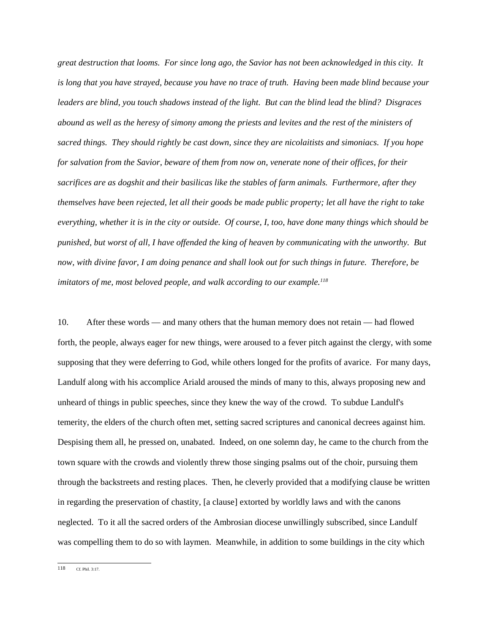*great destruction that looms. For since long ago, the Savior has not been acknowledged in this city. It is long that you have strayed, because you have no trace of truth. Having been made blind because your leaders are blind, you touch shadows instead of the light. But can the blind lead the blind? Disgraces abound as well as the heresy of simony among the priests and levites and the rest of the ministers of sacred things. They should rightly be cast down, since they are nicolaitists and simoniacs. If you hope for salvation from the Savior, beware of them from now on, venerate none of their offices, for their sacrifices are as dogshit and their basilicas like the stables of farm animals. Furthermore, after they themselves have been rejected, let all their goods be made public property; let all have the right to take everything, whether it is in the city or outside. Of course, I, too, have done many things which should be punished, but worst of all, I have offended the king of heaven by communicating with the unworthy. But now, with divine favor, I am doing penance and shall look out for such things in future. Therefore, be imitators of me, most beloved people, and walk according to our example.118*

10. After these words — and many others that the human memory does not retain — had flowed forth, the people, always eager for new things, were aroused to a fever pitch against the clergy, with some supposing that they were deferring to God, while others longed for the profits of avarice. For many days, Landulf along with his accomplice Ariald aroused the minds of many to this, always proposing new and unheard of things in public speeches, since they knew the way of the crowd. To subdue Landulf's temerity, the elders of the church often met, setting sacred scriptures and canonical decrees against him. Despising them all, he pressed on, unabated. Indeed, on one solemn day, he came to the church from the town square with the crowds and violently threw those singing psalms out of the choir, pursuing them through the backstreets and resting places. Then, he cleverly provided that a modifying clause be written in regarding the preservation of chastity, [a clause] extorted by worldly laws and with the canons neglected. To it all the sacred orders of the Ambrosian diocese unwillingly subscribed, since Landulf was compelling them to do so with laymen. Meanwhile, in addition to some buildings in the city which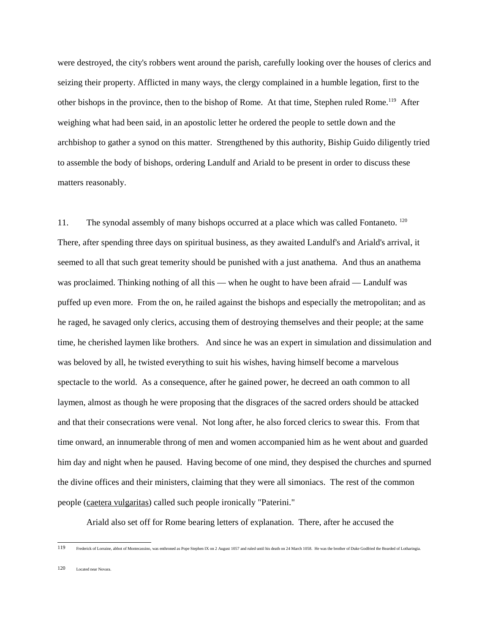were destroyed, the city's robbers went around the parish, carefully looking over the houses of clerics and seizing their property. Afflicted in many ways, the clergy complained in a humble legation, first to the other bishops in the province, then to the bishop of Rome. At that time, Stephen ruled Rome.119 After weighing what had been said, in an apostolic letter he ordered the people to settle down and the archbishop to gather a synod on this matter. Strengthened by this authority, Biship Guido diligently tried to assemble the body of bishops, ordering Landulf and Ariald to be present in order to discuss these matters reasonably.

11. The synodal assembly of many bishops occurred at a place which was called Fontaneto. <sup>120</sup> There, after spending three days on spiritual business, as they awaited Landulf's and Ariald's arrival, it seemed to all that such great temerity should be punished with a just anathema. And thus an anathema was proclaimed. Thinking nothing of all this — when he ought to have been afraid — Landulf was puffed up even more. From the on, he railed against the bishops and especially the metropolitan; and as he raged, he savaged only clerics, accusing them of destroying themselves and their people; at the same time, he cherished laymen like brothers. And since he was an expert in simulation and dissimulation and was beloved by all, he twisted everything to suit his wishes, having himself become a marvelous spectacle to the world. As a consequence, after he gained power, he decreed an oath common to all laymen, almost as though he were proposing that the disgraces of the sacred orders should be attacked and that their consecrations were venal. Not long after, he also forced clerics to swear this. From that time onward, an innumerable throng of men and women accompanied him as he went about and guarded him day and night when he paused. Having become of one mind, they despised the churches and spurned the divine offices and their ministers, claiming that they were all simoniacs. The rest of the common people (caetera vulgaritas) called such people ironically "Paterini."

Ariald also set off for Rome bearing letters of explanation. There, after he accused the

119 Frederick of Lorraine, abbot of Montecassino, was enthroned as Pope Stephen IX on 2 August 1057 and ruled until his death on 24 March 1058. He was the brother of Duke Godfried the Bearded of Lotharingia.

120 Located near Novara.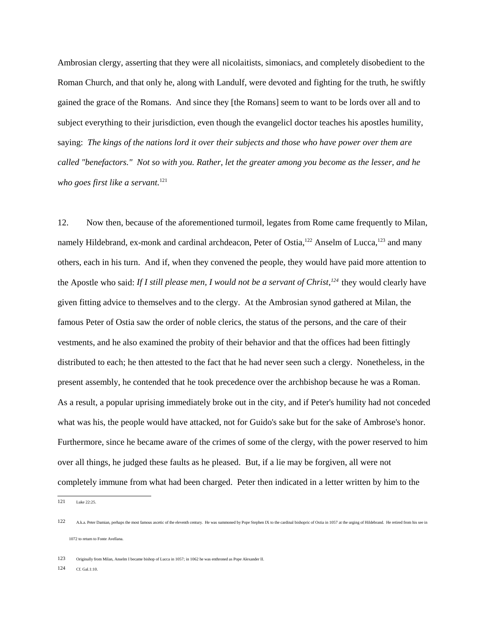Ambrosian clergy, asserting that they were all nicolaitists, simoniacs, and completely disobedient to the Roman Church, and that only he, along with Landulf, were devoted and fighting for the truth, he swiftly gained the grace of the Romans. And since they [the Romans] seem to want to be lords over all and to subject everything to their jurisdiction, even though the evangelicl doctor teaches his apostles humility, saying: *The kings of the nations lord it over their subjects and those who have power over them are called "benefactors." Not so with you. Rather, let the greater among you become as the lesser, and he who goes first like a servant.*<sup>121</sup>

12. Now then, because of the aforementioned turmoil, legates from Rome came frequently to Milan, namely Hildebrand, ex-monk and cardinal archdeacon, Peter of Ostia,<sup>122</sup> Anselm of Lucca,<sup>123</sup> and many others, each in his turn. And if, when they convened the people, they would have paid more attention to the Apostle who said: *If I still please men, I would not be a servant of Christ*,<sup>124</sup> they would clearly have given fitting advice to themselves and to the clergy. At the Ambrosian synod gathered at Milan, the famous Peter of Ostia saw the order of noble clerics, the status of the persons, and the care of their vestments, and he also examined the probity of their behavior and that the offices had been fittingly distributed to each; he then attested to the fact that he had never seen such a clergy. Nonetheless, in the present assembly, he contended that he took precedence over the archbishop because he was a Roman. As a result, a popular uprising immediately broke out in the city, and if Peter's humility had not conceded what was his, the people would have attacked, not for Guido's sake but for the sake of Ambrose's honor. Furthermore, since he became aware of the crimes of some of the clergy, with the power reserved to him over all things, he judged these faults as he pleased. But, if a lie may be forgiven, all were not completely immune from what had been charged. Peter then indicated in a letter written by him to the

<sup>121</sup> Luke 22:25.

<sup>122</sup> A.k.a. Peter Damian, perhaps the most famous ascetic of the eleventh century. He was summoned by Pope Stephen IX to the cardinal bishopric of Ostia in 1057 at the urging of Hildebrand. He retired from his see in 1072 to return to Fonte Avellana.

<sup>123</sup> Originally from Milan, Anselm I became bishop of Lucca in 1057; in 1062 he was enthroned as Pope Alexander II.

<sup>124</sup> Cf. Gal.1:10.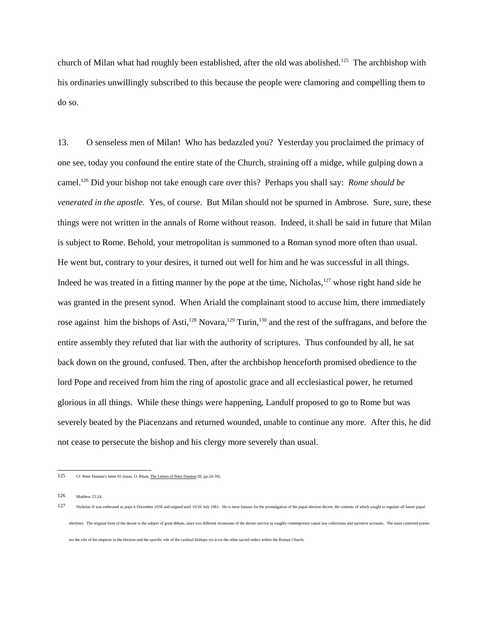church of Milan what had roughly been established, after the old was abolished.<sup>125</sup> The archbishop with his ordinaries unwillingly subscribed to this because the people were clamoring and compelling them to do so.

13. O senseless men of Milan! Who has bedazzled you? Yesterday you proclaimed the primacy of one see, today you confound the entire state of the Church, straining off a midge, while gulping down a camel.126 Did your bishop not take enough care over this? Perhaps you shall say: *Rome should be venerated in the apostle.* Yes, of course. But Milan should not be spurned in Ambrose. Sure, sure, these things were not written in the annals of Rome without reason. Indeed, it shall be said in future that Milan is subject to Rome. Behold, your metropolitan is summoned to a Roman synod more often than usual. He went but, contrary to your desires, it turned out well for him and he was successful in all things. Indeed he was treated in a fitting manner by the pope at the time, Nicholas,<sup>127</sup> whose right hand side he was granted in the present synod. When Ariald the complainant stood to accuse him, there immediately rose against him the bishops of Asti,<sup>128</sup> Novara,<sup>129</sup> Turin,<sup>130</sup> and the rest of the suffragans, and before the entire assembly they refuted that liar with the authority of scriptures. Thus confounded by all, he sat back down on the ground, confused. Then, after the archbishop henceforth promised obedience to the lord Pope and received from him the ring of apostolic grace and all ecclesiastical power, he returned glorious in all things. While these things were happening, Landulf proposed to go to Rome but was severely beated by the Piacenzans and returned wounded, unable to continue any more. After this, he did not cease to persecute the bishop and his clergy more severely than usual.

are the role of the emperor in the election and the specific role of the cardinal bishops vis-à-vis the other sacred orders within the Roman Church.

<sup>125</sup> Cf. Peter Damian's letter 65 (trans. O. Blum, The Letters of Peter Damian III, pp.24-39).

<sup>126</sup> Matthew 23:24.

<sup>127</sup> Nicholas II was enthroned as pope 6 December 1058 and reigned until 19/26 July 1061. He is most famous for the promulgation of the papal election decree, the contents of which sought to regulate all future papal elections. The original form of the decree is the subject of great debate, since two different recensions of the decree survive in roughly contemporary canon law collections and narrative accounts. The main contested point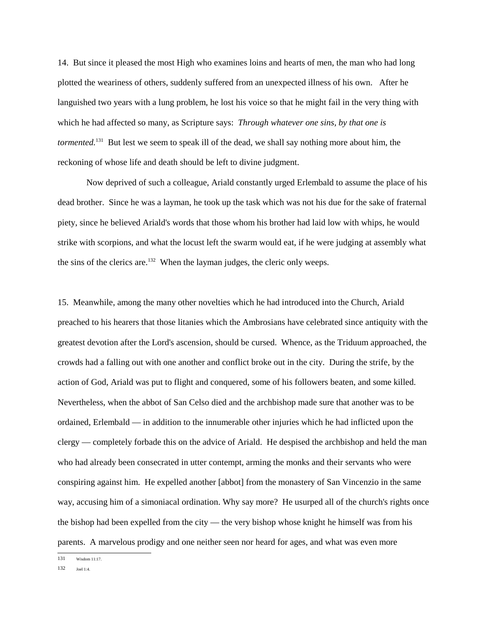14. But since it pleased the most High who examines loins and hearts of men, the man who had long plotted the weariness of others, suddenly suffered from an unexpected illness of his own. After he languished two years with a lung problem, he lost his voice so that he might fail in the very thing with which he had affected so many, as Scripture says: *Through whatever one sins, by that one is tormented.*<sup>131</sup> But lest we seem to speak ill of the dead, we shall say nothing more about him, the reckoning of whose life and death should be left to divine judgment.

Now deprived of such a colleague, Ariald constantly urged Erlembald to assume the place of his dead brother. Since he was a layman, he took up the task which was not his due for the sake of fraternal piety, since he believed Ariald's words that those whom his brother had laid low with whips, he would strike with scorpions, and what the locust left the swarm would eat, if he were judging at assembly what the sins of the clerics are.<sup>132</sup> When the layman judges, the cleric only weeps.

15. Meanwhile, among the many other novelties which he had introduced into the Church, Ariald preached to his hearers that those litanies which the Ambrosians have celebrated since antiquity with the greatest devotion after the Lord's ascension, should be cursed. Whence, as the Triduum approached, the crowds had a falling out with one another and conflict broke out in the city. During the strife, by the action of God, Ariald was put to flight and conquered, some of his followers beaten, and some killed. Nevertheless, when the abbot of San Celso died and the archbishop made sure that another was to be ordained, Erlembald — in addition to the innumerable other injuries which he had inflicted upon the clergy — completely forbade this on the advice of Ariald. He despised the archbishop and held the man who had already been consecrated in utter contempt, arming the monks and their servants who were conspiring against him. He expelled another [abbot] from the monastery of San Vincenzio in the same way, accusing him of a simoniacal ordination. Why say more? He usurped all of the church's rights once the bishop had been expelled from the city — the very bishop whose knight he himself was from his parents. A marvelous prodigy and one neither seen nor heard for ages, and what was even more

131 Wisdom 11:17.

132 Joel 1:4.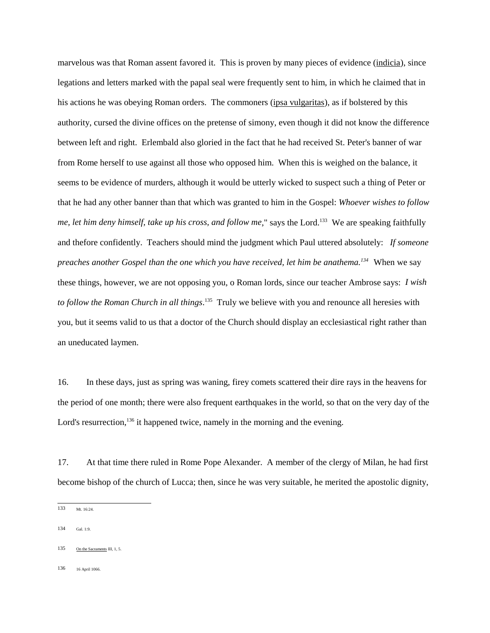marvelous was that Roman assent favored it. This is proven by many pieces of evidence (indicia), since legations and letters marked with the papal seal were frequently sent to him, in which he claimed that in his actions he was obeying Roman orders. The commoners (ipsa vulgaritas), as if bolstered by this authority, cursed the divine offices on the pretense of simony, even though it did not know the difference between left and right. Erlembald also gloried in the fact that he had received St. Peter's banner of war from Rome herself to use against all those who opposed him. When this is weighed on the balance, it seems to be evidence of murders, although it would be utterly wicked to suspect such a thing of Peter or that he had any other banner than that which was granted to him in the Gospel: *Whoever wishes to follow me, let him deny himself, take up his cross, and follow me*," says the Lord.<sup>133</sup> We are speaking faithfully and thefore confidently. Teachers should mind the judgment which Paul uttered absolutely: *If someone preaches another Gospel than the one which you have received, let him be anathema.134* When we say these things, however, we are not opposing you, o Roman lords, since our teacher Ambrose says: *I wish to follow the Roman Church in all things*. 135 Truly we believe with you and renounce all heresies with you, but it seems valid to us that a doctor of the Church should display an ecclesiastical right rather than an uneducated laymen.

16. In these days, just as spring was waning, firey comets scattered their dire rays in the heavens for the period of one month; there were also frequent earthquakes in the world, so that on the very day of the Lord's resurrection,<sup>136</sup> it happened twice, namely in the morning and the evening.

17. At that time there ruled in Rome Pope Alexander. A member of the clergy of Milan, he had first become bishop of the church of Lucca; then, since he was very suitable, he merited the apostolic dignity,

136 16 April 1066.

<sup>133</sup> Mt. 16:24.

<sup>134</sup> Gal. 1:9.

<sup>135</sup> On the Sacraments III, 1, 5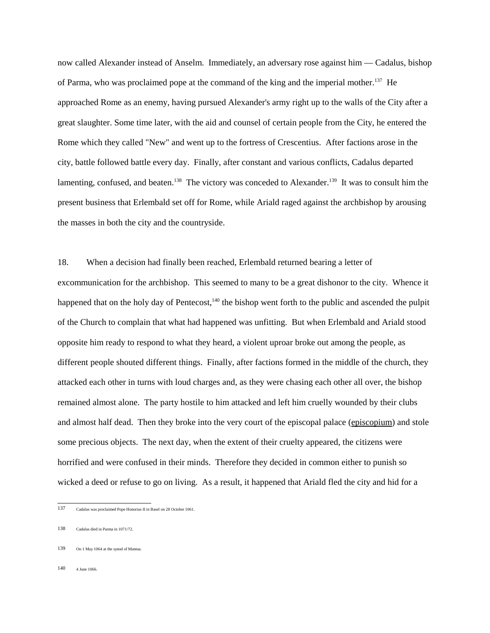now called Alexander instead of Anselm. Immediately, an adversary rose against him — Cadalus, bishop of Parma, who was proclaimed pope at the command of the king and the imperial mother.<sup>137</sup> He approached Rome as an enemy, having pursued Alexander's army right up to the walls of the City after a great slaughter. Some time later, with the aid and counsel of certain people from the City, he entered the Rome which they called "New" and went up to the fortress of Crescentius. After factions arose in the city, battle followed battle every day. Finally, after constant and various conflicts, Cadalus departed lamenting, confused, and beaten.<sup>138</sup> The victory was conceded to Alexander.<sup>139</sup> It was to consult him the present business that Erlembald set off for Rome, while Ariald raged against the archbishop by arousing the masses in both the city and the countryside.

18. When a decision had finally been reached, Erlembald returned bearing a letter of excommunication for the archbishop. This seemed to many to be a great dishonor to the city. Whence it happened that on the holy day of Pentecost,<sup>140</sup> the bishop went forth to the public and ascended the pulpit of the Church to complain that what had happened was unfitting. But when Erlembald and Ariald stood opposite him ready to respond to what they heard, a violent uproar broke out among the people, as different people shouted different things. Finally, after factions formed in the middle of the church, they attacked each other in turns with loud charges and, as they were chasing each other all over, the bishop remained almost alone. The party hostile to him attacked and left him cruelly wounded by their clubs and almost half dead. Then they broke into the very court of the episcopal palace (episcopium) and stole some precious objects. The next day, when the extent of their cruelty appeared, the citizens were horrified and were confused in their minds. Therefore they decided in common either to punish so wicked a deed or refuse to go on living. As a result, it happened that Ariald fled the city and hid for a

140 4 June 1066.

<sup>137</sup> Cadalus was proclaimed Pope Honorius II in Basel on 28 October 1061.

<sup>138</sup> Cadalus died in Parma in 1071/72.

<sup>139</sup> On 1 May 1064 at the synod of Mantua.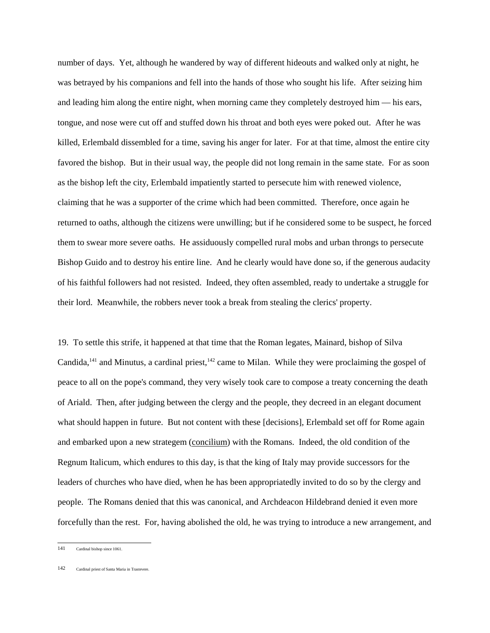number of days. Yet, although he wandered by way of different hideouts and walked only at night, he was betrayed by his companions and fell into the hands of those who sought his life. After seizing him and leading him along the entire night, when morning came they completely destroyed him — his ears, tongue, and nose were cut off and stuffed down his throat and both eyes were poked out. After he was killed, Erlembald dissembled for a time, saving his anger for later. For at that time, almost the entire city favored the bishop. But in their usual way, the people did not long remain in the same state. For as soon as the bishop left the city, Erlembald impatiently started to persecute him with renewed violence, claiming that he was a supporter of the crime which had been committed. Therefore, once again he returned to oaths, although the citizens were unwilling; but if he considered some to be suspect, he forced them to swear more severe oaths. He assiduously compelled rural mobs and urban throngs to persecute Bishop Guido and to destroy his entire line. And he clearly would have done so, if the generous audacity of his faithful followers had not resisted. Indeed, they often assembled, ready to undertake a struggle for their lord. Meanwhile, the robbers never took a break from stealing the clerics' property.

19. To settle this strife, it happened at that time that the Roman legates, Mainard, bishop of Silva Candida,<sup>141</sup> and Minutus, a cardinal priest,<sup>142</sup> came to Milan. While they were proclaiming the gospel of peace to all on the pope's command, they very wisely took care to compose a treaty concerning the death of Ariald. Then, after judging between the clergy and the people, they decreed in an elegant document what should happen in future. But not content with these [decisions], Erlembald set off for Rome again and embarked upon a new strategem (concilium) with the Romans. Indeed, the old condition of the Regnum Italicum, which endures to this day, is that the king of Italy may provide successors for the leaders of churches who have died, when he has been appropriatedly invited to do so by the clergy and people. The Romans denied that this was canonical, and Archdeacon Hildebrand denied it even more forcefully than the rest. For, having abolished the old, he was trying to introduce a new arrangement, and

<sup>141</sup> Cardinal bishop since 1061.

<sup>142</sup> Cardinal priest of Santa Maria in Trastevere.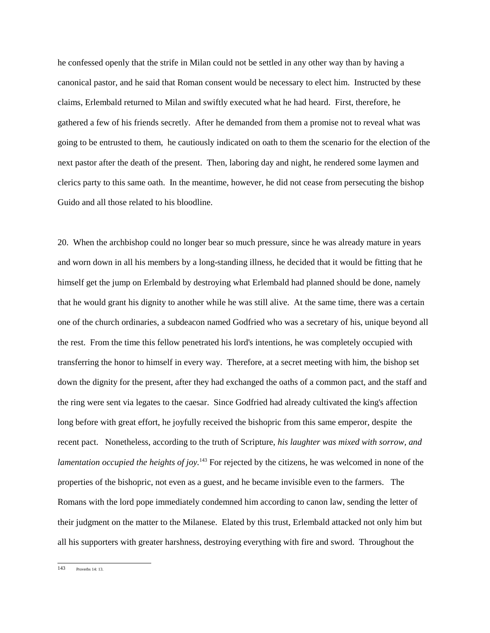he confessed openly that the strife in Milan could not be settled in any other way than by having a canonical pastor, and he said that Roman consent would be necessary to elect him. Instructed by these claims, Erlembald returned to Milan and swiftly executed what he had heard. First, therefore, he gathered a few of his friends secretly. After he demanded from them a promise not to reveal what was going to be entrusted to them, he cautiously indicated on oath to them the scenario for the election of the next pastor after the death of the present. Then, laboring day and night, he rendered some laymen and clerics party to this same oath. In the meantime, however, he did not cease from persecuting the bishop Guido and all those related to his bloodline.

20. When the archbishop could no longer bear so much pressure, since he was already mature in years and worn down in all his members by a long-standing illness, he decided that it would be fitting that he himself get the jump on Erlembald by destroying what Erlembald had planned should be done, namely that he would grant his dignity to another while he was still alive. At the same time, there was a certain one of the church ordinaries, a subdeacon named Godfried who was a secretary of his, unique beyond all the rest. From the time this fellow penetrated his lord's intentions, he was completely occupied with transferring the honor to himself in every way. Therefore, at a secret meeting with him, the bishop set down the dignity for the present, after they had exchanged the oaths of a common pact, and the staff and the ring were sent via legates to the caesar. Since Godfried had already cultivated the king's affection long before with great effort, he joyfully received the bishopric from this same emperor, despite the recent pact. Nonetheless, according to the truth of Scripture, *his laughter was mixed with sorrow, and lamentation occupied the heights of joy.*<sup>143</sup> For rejected by the citizens, he was welcomed in none of the properties of the bishopric, not even as a guest, and he became invisible even to the farmers. The Romans with the lord pope immediately condemned him according to canon law, sending the letter of their judgment on the matter to the Milanese. Elated by this trust, Erlembald attacked not only him but all his supporters with greater harshness, destroying everything with fire and sword. Throughout the

<sup>143</sup> Proverbs 14: 13.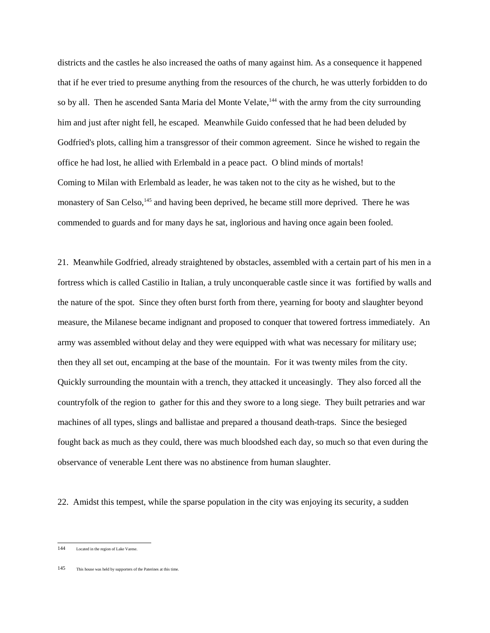districts and the castles he also increased the oaths of many against him. As a consequence it happened that if he ever tried to presume anything from the resources of the church, he was utterly forbidden to do so by all. Then he ascended Santa Maria del Monte Velate,<sup>144</sup> with the army from the city surrounding him and just after night fell, he escaped. Meanwhile Guido confessed that he had been deluded by Godfried's plots, calling him a transgressor of their common agreement. Since he wished to regain the office he had lost, he allied with Erlembald in a peace pact. O blind minds of mortals! Coming to Milan with Erlembald as leader, he was taken not to the city as he wished, but to the monastery of San Celso,<sup>145</sup> and having been deprived, he became still more deprived. There he was commended to guards and for many days he sat, inglorious and having once again been fooled.

21. Meanwhile Godfried, already straightened by obstacles, assembled with a certain part of his men in a fortress which is called Castilio in Italian, a truly unconquerable castle since it was fortified by walls and the nature of the spot. Since they often burst forth from there, yearning for booty and slaughter beyond measure, the Milanese became indignant and proposed to conquer that towered fortress immediately. An army was assembled without delay and they were equipped with what was necessary for military use; then they all set out, encamping at the base of the mountain. For it was twenty miles from the city. Quickly surrounding the mountain with a trench, they attacked it unceasingly. They also forced all the countryfolk of the region to gather for this and they swore to a long siege. They built petraries and war machines of all types, slings and ballistae and prepared a thousand death-traps. Since the besieged fought back as much as they could, there was much bloodshed each day, so much so that even during the observance of venerable Lent there was no abstinence from human slaughter.

22. Amidst this tempest, while the sparse population in the city was enjoying its security, a sudden

145 This house was held by supporters of the Paterines at this time.

<sup>144</sup> Located in the region of Lake Varese.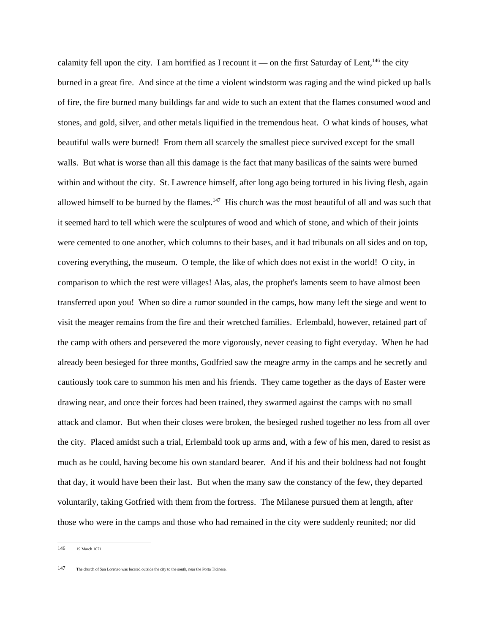calamity fell upon the city. I am horrified as I recount it — on the first Saturday of Lent,<sup>146</sup> the city burned in a great fire. And since at the time a violent windstorm was raging and the wind picked up balls of fire, the fire burned many buildings far and wide to such an extent that the flames consumed wood and stones, and gold, silver, and other metals liquified in the tremendous heat. O what kinds of houses, what beautiful walls were burned! From them all scarcely the smallest piece survived except for the small walls. But what is worse than all this damage is the fact that many basilicas of the saints were burned within and without the city. St. Lawrence himself, after long ago being tortured in his living flesh, again allowed himself to be burned by the flames.<sup>147</sup> His church was the most beautiful of all and was such that it seemed hard to tell which were the sculptures of wood and which of stone, and which of their joints were cemented to one another, which columns to their bases, and it had tribunals on all sides and on top, covering everything, the museum. O temple, the like of which does not exist in the world! O city, in comparison to which the rest were villages! Alas, alas, the prophet's laments seem to have almost been transferred upon you! When so dire a rumor sounded in the camps, how many left the siege and went to visit the meager remains from the fire and their wretched families. Erlembald, however, retained part of the camp with others and persevered the more vigorously, never ceasing to fight everyday. When he had already been besieged for three months, Godfried saw the meagre army in the camps and he secretly and cautiously took care to summon his men and his friends. They came together as the days of Easter were drawing near, and once their forces had been trained, they swarmed against the camps with no small attack and clamor. But when their closes were broken, the besieged rushed together no less from all over the city. Placed amidst such a trial, Erlembald took up arms and, with a few of his men, dared to resist as much as he could, having become his own standard bearer. And if his and their boldness had not fought that day, it would have been their last. But when the many saw the constancy of the few, they departed voluntarily, taking Gotfried with them from the fortress. The Milanese pursued them at length, after those who were in the camps and those who had remained in the city were suddenly reunited; nor did

<sup>146 19</sup> March 1071.

<sup>147</sup> The church of San Lorenzo was located outside the city to the south, near the Porta Ticinese.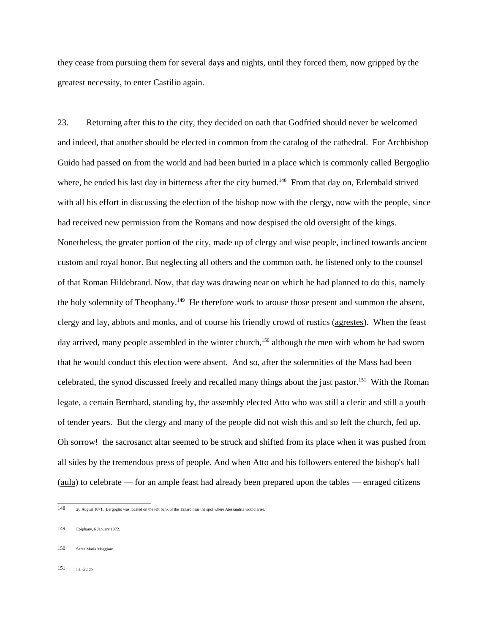they cease from pursuing them for several days and nights, until they forced them, now gripped by the greatest necessity, to enter Castilio again.

23. Returning after this to the city, they decided on oath that Godfried should never be welcomed and indeed, that another should be elected in common from the catalog of the cathedral. For Archbishop Guido had passed on from the world and had been buried in a place which is commonly called Bergoglio where, he ended his last day in bitterness after the city burned.<sup>148</sup> From that day on, Erlembald strived with all his effort in discussing the election of the bishop now with the clergy, now with the people, since had received new permission from the Romans and now despised the old oversight of the kings. Nonetheless, the greater portion of the city, made up of clergy and wise people, inclined towards ancient custom and royal honor. But neglecting all others and the common oath, he listened only to the counsel of that Roman Hildebrand. Now, that day was drawing near on which he had planned to do this, namely the holy solemnity of Theophany.<sup>149</sup> He therefore work to arouse those present and summon the absent, clergy and lay, abbots and monks, and of course his friendly crowd of rustics (agrestes). When the feast day arrived, many people assembled in the winter church,<sup>150</sup> although the men with whom he had sworn that he would conduct this election were absent. And so, after the solemnities of the Mass had been celebrated, the synod discussed freely and recalled many things about the just pastor.151 With the Roman legate, a certain Bernhard, standing by, the assembly elected Atto who was still a cleric and still a youth of tender years. But the clergy and many of the people did not wish this and so left the church, fed up. Oh sorrow! the sacrosanct altar seemed to be struck and shifted from its place when it was pushed from all sides by the tremendous press of people. And when Atto and his followers entered the bishop's hall (aula) to celebrate — for an ample feast had already been prepared upon the tables — enraged citizens

- 150 Santa Maria Maggiore.
- 151 Le. Guido.

<sup>148 26</sup> August 1071. Bergoglio was located on the left bank of the Tanaro near the spot where Alessandria would arise.

<sup>149</sup> Epiphany, 6 January 1072.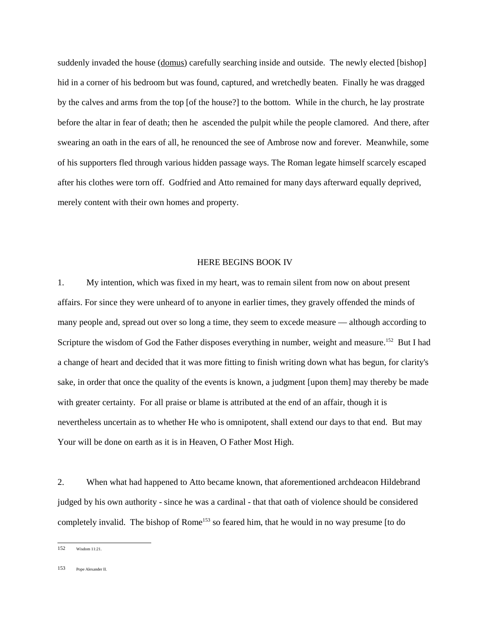suddenly invaded the house (domus) carefully searching inside and outside. The newly elected [bishop] hid in a corner of his bedroom but was found, captured, and wretchedly beaten. Finally he was dragged by the calves and arms from the top [of the house?] to the bottom. While in the church, he lay prostrate before the altar in fear of death; then he ascended the pulpit while the people clamored. And there, after swearing an oath in the ears of all, he renounced the see of Ambrose now and forever. Meanwhile, some of his supporters fled through various hidden passage ways. The Roman legate himself scarcely escaped after his clothes were torn off. Godfried and Atto remained for many days afterward equally deprived, merely content with their own homes and property.

### HERE BEGINS BOOK IV

1. My intention, which was fixed in my heart, was to remain silent from now on about present affairs. For since they were unheard of to anyone in earlier times, they gravely offended the minds of many people and, spread out over so long a time, they seem to excede measure — although according to Scripture the wisdom of God the Father disposes everything in number, weight and measure.<sup>152</sup> But I had a change of heart and decided that it was more fitting to finish writing down what has begun, for clarity's sake, in order that once the quality of the events is known, a judgment [upon them] may thereby be made with greater certainty. For all praise or blame is attributed at the end of an affair, though it is nevertheless uncertain as to whether He who is omnipotent, shall extend our days to that end. But may Your will be done on earth as it is in Heaven, O Father Most High.

2. When what had happened to Atto became known, that aforementioned archdeacon Hildebrand judged by his own authority - since he was a cardinal - that that oath of violence should be considered completely invalid. The bishop of Rome<sup>153</sup> so feared him, that he would in no way presume [to do

153 Pope Alexander II.

<sup>152</sup> Wisdom 11:21.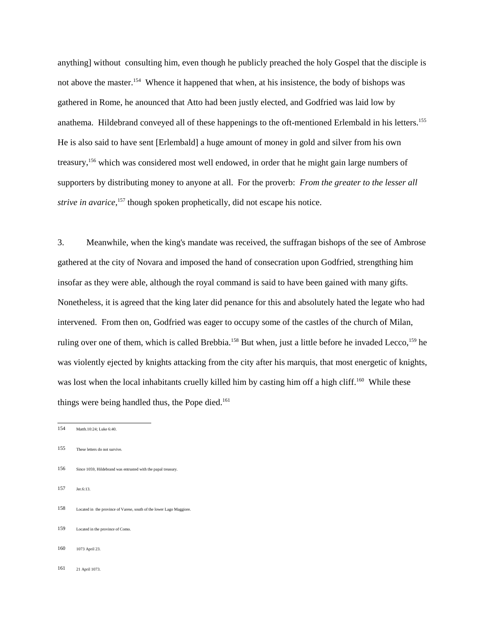anything] without consulting him, even though he publicly preached the holy Gospel that the disciple is not above the master.<sup>154</sup> Whence it happened that when, at his insistence, the body of bishops was gathered in Rome, he anounced that Atto had been justly elected, and Godfried was laid low by anathema. Hildebrand conveyed all of these happenings to the oft-mentioned Erlembald in his letters.155 He is also said to have sent [Erlembald] a huge amount of money in gold and silver from his own treasury,156 which was considered most well endowed, in order that he might gain large numbers of supporters by distributing money to anyone at all. For the proverb: *From the greater to the lesser all* strive in avarice,<sup>157</sup> though spoken prophetically, did not escape his notice.

3. Meanwhile, when the king's mandate was received, the suffragan bishops of the see of Ambrose gathered at the city of Novara and imposed the hand of consecration upon Godfried, strengthing him insofar as they were able, although the royal command is said to have been gained with many gifts. Nonetheless, it is agreed that the king later did penance for this and absolutely hated the legate who had intervened. From then on, Godfried was eager to occupy some of the castles of the church of Milan, ruling over one of them, which is called Brebbia.<sup>158</sup> But when, just a little before he invaded Lecco,<sup>159</sup> he was violently ejected by knights attacking from the city after his marquis, that most energetic of knights, was lost when the local inhabitants cruelly killed him by casting him off a high cliff.<sup>160</sup> While these things were being handled thus, the Pope died.<sup>161</sup>

- 155 These letters do not survive.
- 156 Since 1059, Hildebrand was entrusted with the papal treasury.
- 157 Jer.6:13.
- 158 Located in the province of Varese, south of the lower Lago Maggiore.
- 159 Located in the province of Como.
- 160 1073 April 23.
- 161 21 April 1073.

<sup>154</sup> Matth.10:24; Luke 6:40.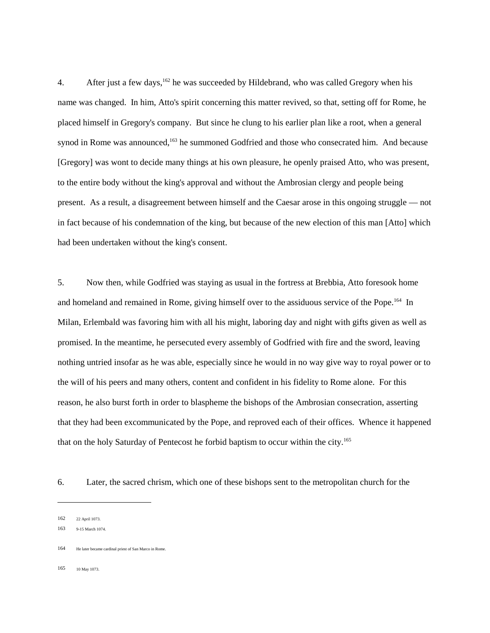4. After just a few days,<sup>162</sup> he was succeeded by Hildebrand, who was called Gregory when his name was changed. In him, Atto's spirit concerning this matter revived, so that, setting off for Rome, he placed himself in Gregory's company. But since he clung to his earlier plan like a root, when a general synod in Rome was announced,<sup>163</sup> he summoned Godfried and those who consecrated him. And because [Gregory] was wont to decide many things at his own pleasure, he openly praised Atto, who was present, to the entire body without the king's approval and without the Ambrosian clergy and people being present. As a result, a disagreement between himself and the Caesar arose in this ongoing struggle — not in fact because of his condemnation of the king, but because of the new election of this man [Atto] which had been undertaken without the king's consent.

5. Now then, while Godfried was staying as usual in the fortress at Brebbia, Atto foresook home and homeland and remained in Rome, giving himself over to the assiduous service of the Pope.<sup>164</sup> In Milan, Erlembald was favoring him with all his might, laboring day and night with gifts given as well as promised. In the meantime, he persecuted every assembly of Godfried with fire and the sword, leaving nothing untried insofar as he was able, especially since he would in no way give way to royal power or to the will of his peers and many others, content and confident in his fidelity to Rome alone. For this reason, he also burst forth in order to blaspheme the bishops of the Ambrosian consecration, asserting that they had been excommunicated by the Pope, and reproved each of their offices. Whence it happened that on the holy Saturday of Pentecost he forbid baptism to occur within the city.165

6. Later, the sacred chrism, which one of these bishops sent to the metropolitan church for the

163 9-15 March 1074.

165 10 May 1073.

<sup>162 22</sup> April 1073.

<sup>164</sup> He later became cardinal priest of San Marco in Rome.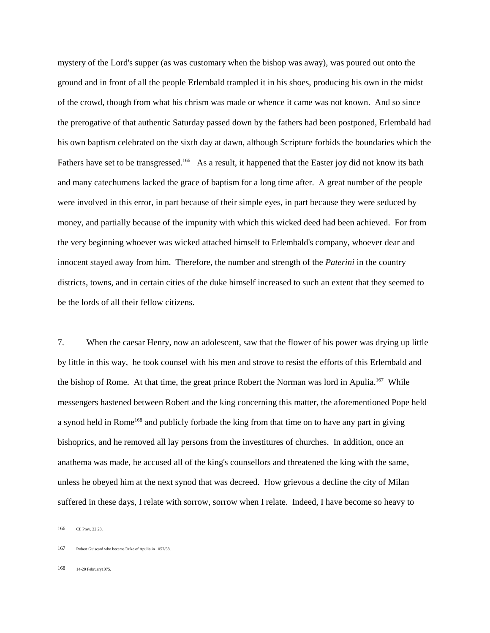mystery of the Lord's supper (as was customary when the bishop was away), was poured out onto the ground and in front of all the people Erlembald trampled it in his shoes, producing his own in the midst of the crowd, though from what his chrism was made or whence it came was not known. And so since the prerogative of that authentic Saturday passed down by the fathers had been postponed, Erlembald had his own baptism celebrated on the sixth day at dawn, although Scripture forbids the boundaries which the Fathers have set to be transgressed.<sup>166</sup> As a result, it happened that the Easter joy did not know its bath and many catechumens lacked the grace of baptism for a long time after. A great number of the people were involved in this error, in part because of their simple eyes, in part because they were seduced by money, and partially because of the impunity with which this wicked deed had been achieved. For from the very beginning whoever was wicked attached himself to Erlembald's company, whoever dear and innocent stayed away from him. Therefore, the number and strength of the *Paterini* in the country districts, towns, and in certain cities of the duke himself increased to such an extent that they seemed to be the lords of all their fellow citizens.

7. When the caesar Henry, now an adolescent, saw that the flower of his power was drying up little by little in this way, he took counsel with his men and strove to resist the efforts of this Erlembald and the bishop of Rome. At that time, the great prince Robert the Norman was lord in Apulia.<sup>167</sup> While messengers hastened between Robert and the king concerning this matter, the aforementioned Pope held a synod held in Rome<sup>168</sup> and publicly forbade the king from that time on to have any part in giving bishoprics, and he removed all lay persons from the investitures of churches. In addition, once an anathema was made, he accused all of the king's counsellors and threatened the king with the same, unless he obeyed him at the next synod that was decreed. How grievous a decline the city of Milan suffered in these days, I relate with sorrow, sorrow when I relate. Indeed, I have become so heavy to

168 14-20 February1075.

<sup>166</sup> Cf. Prov. 22:28.

<sup>167</sup> Robert Guiscard who became Duke of Apulia in 1057/58.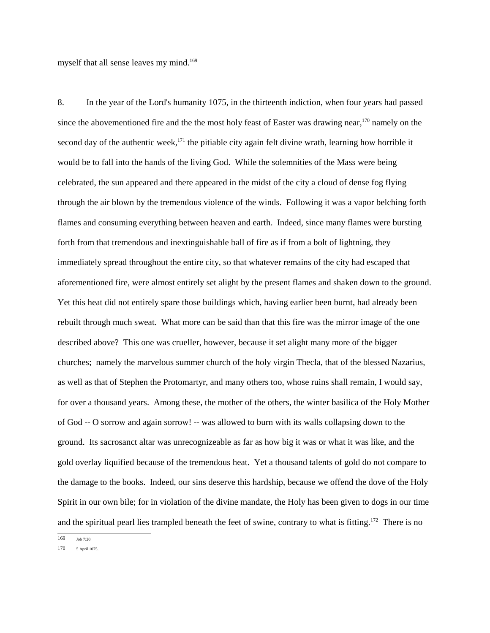myself that all sense leaves my mind.<sup>169</sup>

8. In the year of the Lord's humanity 1075, in the thirteenth indiction, when four years had passed since the abovementioned fire and the the most holy feast of Easter was drawing near, $170$  namely on the second day of the authentic week,<sup>171</sup> the pitiable city again felt divine wrath, learning how horrible it would be to fall into the hands of the living God. While the solemnities of the Mass were being celebrated, the sun appeared and there appeared in the midst of the city a cloud of dense fog flying through the air blown by the tremendous violence of the winds. Following it was a vapor belching forth flames and consuming everything between heaven and earth. Indeed, since many flames were bursting forth from that tremendous and inextinguishable ball of fire as if from a bolt of lightning, they immediately spread throughout the entire city, so that whatever remains of the city had escaped that aforementioned fire, were almost entirely set alight by the present flames and shaken down to the ground. Yet this heat did not entirely spare those buildings which, having earlier been burnt, had already been rebuilt through much sweat. What more can be said than that this fire was the mirror image of the one described above? This one was crueller, however, because it set alight many more of the bigger churches; namely the marvelous summer church of the holy virgin Thecla, that of the blessed Nazarius, as well as that of Stephen the Protomartyr, and many others too, whose ruins shall remain, I would say, for over a thousand years. Among these, the mother of the others, the winter basilica of the Holy Mother of God -- O sorrow and again sorrow! -- was allowed to burn with its walls collapsing down to the ground. Its sacrosanct altar was unrecognizeable as far as how big it was or what it was like, and the gold overlay liquified because of the tremendous heat. Yet a thousand talents of gold do not compare to the damage to the books. Indeed, our sins deserve this hardship, because we offend the dove of the Holy Spirit in our own bile; for in violation of the divine mandate, the Holy has been given to dogs in our time and the spiritual pearl lies trampled beneath the feet of swine, contrary to what is fitting.<sup>172</sup> There is no

<sup>169</sup> Job 7:20.

<sup>170 5</sup> April 1075.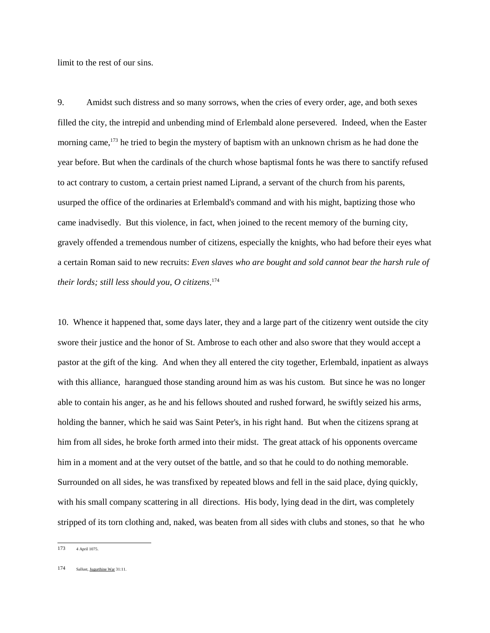limit to the rest of our sins.

9. Amidst such distress and so many sorrows, when the cries of every order, age, and both sexes filled the city, the intrepid and unbending mind of Erlembald alone persevered. Indeed, when the Easter morning came,<sup>173</sup> he tried to begin the mystery of baptism with an unknown chrism as he had done the year before. But when the cardinals of the church whose baptismal fonts he was there to sanctify refused to act contrary to custom, a certain priest named Liprand, a servant of the church from his parents, usurped the office of the ordinaries at Erlembald's command and with his might, baptizing those who came inadvisedly. But this violence, in fact, when joined to the recent memory of the burning city, gravely offended a tremendous number of citizens, especially the knights, who had before their eyes what a certain Roman said to new recruits: *Even slaves who are bought and sold cannot bear the harsh rule of their lords; still less should you, O citizens*. 174

10. Whence it happened that, some days later, they and a large part of the citizenry went outside the city swore their justice and the honor of St. Ambrose to each other and also swore that they would accept a pastor at the gift of the king. And when they all entered the city together, Erlembald, inpatient as always with this alliance, harangued those standing around him as was his custom. But since he was no longer able to contain his anger, as he and his fellows shouted and rushed forward, he swiftly seized his arms, holding the banner, which he said was Saint Peter's, in his right hand. But when the citizens sprang at him from all sides, he broke forth armed into their midst. The great attack of his opponents overcame him in a moment and at the very outset of the battle, and so that he could to do nothing memorable. Surrounded on all sides, he was transfixed by repeated blows and fell in the said place, dying quickly, with his small company scattering in all directions. His body, lying dead in the dirt, was completely stripped of its torn clothing and, naked, was beaten from all sides with clubs and stones, so that he who

<sup>173 4</sup> April 1075.

<sup>174</sup> Sallust, Jugurthine War 31:11.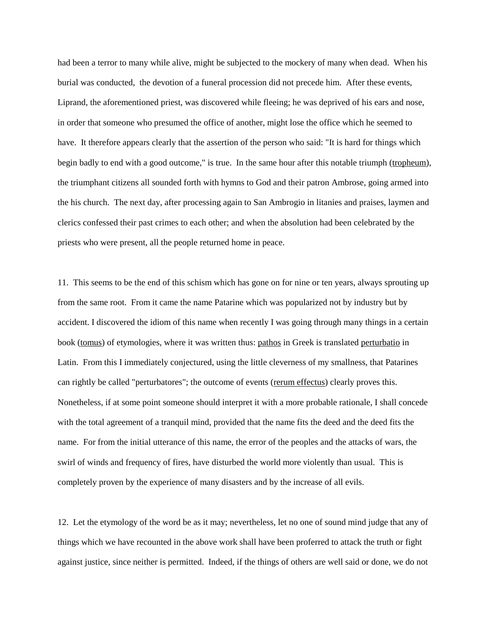had been a terror to many while alive, might be subjected to the mockery of many when dead. When his burial was conducted, the devotion of a funeral procession did not precede him. After these events, Liprand, the aforementioned priest, was discovered while fleeing; he was deprived of his ears and nose, in order that someone who presumed the office of another, might lose the office which he seemed to have. It therefore appears clearly that the assertion of the person who said: "It is hard for things which begin badly to end with a good outcome," is true. In the same hour after this notable triumph (tropheum), the triumphant citizens all sounded forth with hymns to God and their patron Ambrose, going armed into the his church. The next day, after processing again to San Ambrogio in litanies and praises, laymen and clerics confessed their past crimes to each other; and when the absolution had been celebrated by the priests who were present, all the people returned home in peace.

11. This seems to be the end of this schism which has gone on for nine or ten years, always sprouting up from the same root. From it came the name Patarine which was popularized not by industry but by accident. I discovered the idiom of this name when recently I was going through many things in a certain book (tomus) of etymologies, where it was written thus: pathos in Greek is translated perturbatio in Latin. From this I immediately conjectured, using the little cleverness of my smallness, that Patarines can rightly be called "perturbatores"; the outcome of events (rerum effectus) clearly proves this. Nonetheless, if at some point someone should interpret it with a more probable rationale, I shall concede with the total agreement of a tranquil mind, provided that the name fits the deed and the deed fits the name. For from the initial utterance of this name, the error of the peoples and the attacks of wars, the swirl of winds and frequency of fires, have disturbed the world more violently than usual. This is completely proven by the experience of many disasters and by the increase of all evils.

12. Let the etymology of the word be as it may; nevertheless, let no one of sound mind judge that any of things which we have recounted in the above work shall have been proferred to attack the truth or fight against justice, since neither is permitted. Indeed, if the things of others are well said or done, we do not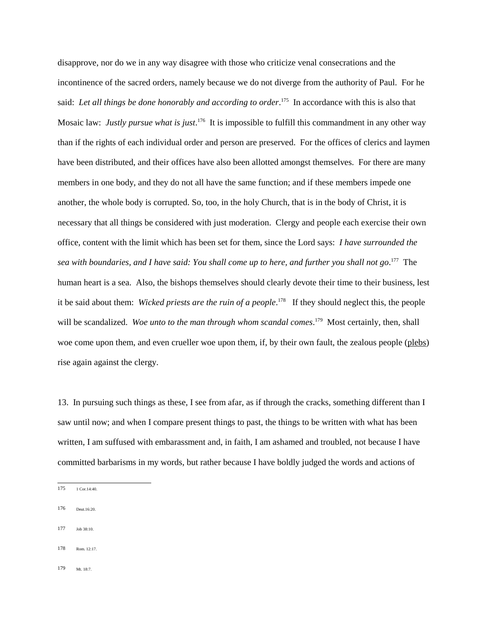disapprove, nor do we in any way disagree with those who criticize venal consecrations and the incontinence of the sacred orders, namely because we do not diverge from the authority of Paul. For he said: *Let all things be done honorably and according to order*. 175 In accordance with this is also that Mosaic law: *Justly pursue what is just*. 176 It is impossible to fulfill this commandment in any other way than if the rights of each individual order and person are preserved. For the offices of clerics and laymen have been distributed, and their offices have also been allotted amongst themselves. For there are many members in one body, and they do not all have the same function; and if these members impede one another, the whole body is corrupted. So, too, in the holy Church, that is in the body of Christ, it is necessary that all things be considered with just moderation. Clergy and people each exercise their own office, content with the limit which has been set for them, since the Lord says: *I have surrounded the sea with boundaries, and I have said: You shall come up to here, and further you shall not go*. 177 The human heart is a sea. Also, the bishops themselves should clearly devote their time to their business, lest it be said about them: *Wicked priests are the ruin of a people*. 178 If they should neglect this, the people will be scandalized. Woe unto to the man through whom scandal comes.<sup>179</sup> Most certainly, then, shall woe come upon them, and even crueller woe upon them, if, by their own fault, the zealous people (plebs) rise again against the clergy.

13. In pursuing such things as these, I see from afar, as if through the cracks, something different than I saw until now; and when I compare present things to past, the things to be written with what has been written, I am suffused with embarassment and, in faith, I am ashamed and troubled, not because I have committed barbarisms in my words, but rather because I have boldly judged the words and actions of

- 176 Deut.16:20.
- $177$  Iob 38:10
- 178 Rom. 12:17.
- 179 Mt. 18:7.

<sup>175 1</sup> Cor.14:40.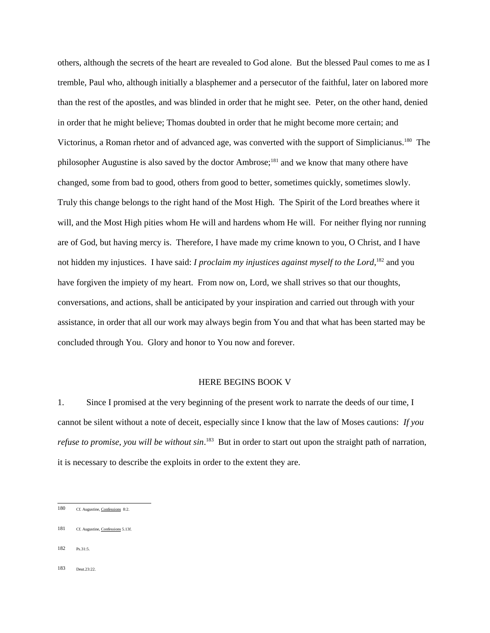others, although the secrets of the heart are revealed to God alone. But the blessed Paul comes to me as I tremble, Paul who, although initially a blasphemer and a persecutor of the faithful, later on labored more than the rest of the apostles, and was blinded in order that he might see. Peter, on the other hand, denied in order that he might believe; Thomas doubted in order that he might become more certain; and Victorinus, a Roman rhetor and of advanced age, was converted with the support of Simplicianus.180 The philosopher Augustine is also saved by the doctor Ambrose;181 and we know that many othere have changed, some from bad to good, others from good to better, sometimes quickly, sometimes slowly. Truly this change belongs to the right hand of the Most High. The Spirit of the Lord breathes where it will, and the Most High pities whom He will and hardens whom He will. For neither flying nor running are of God, but having mercy is. Therefore, I have made my crime known to you, O Christ, and I have not hidden my injustices. I have said: *I proclaim my injustices against myself to the Lord*,<sup>182</sup> and you have forgiven the impiety of my heart. From now on, Lord, we shall strives so that our thoughts, conversations, and actions, shall be anticipated by your inspiration and carried out through with your assistance, in order that all our work may always begin from You and that what has been started may be concluded through You. Glory and honor to You now and forever.

## HERE BEGINS BOOK V

1. Since I promised at the very beginning of the present work to narrate the deeds of our time, I cannot be silent without a note of deceit, especially since I know that the law of Moses cautions: *If you refuse to promise, you will be without sin*. 183 But in order to start out upon the straight path of narration, it is necessary to describe the exploits in order to the extent they are.

<sup>180</sup> Cf. Augustine, Confessions 8:2.

<sup>181</sup> Cf. Augustine, Confessions 5.13f.

<sup>182</sup> Ps.31:5.

 $183$  Deut. 23:22.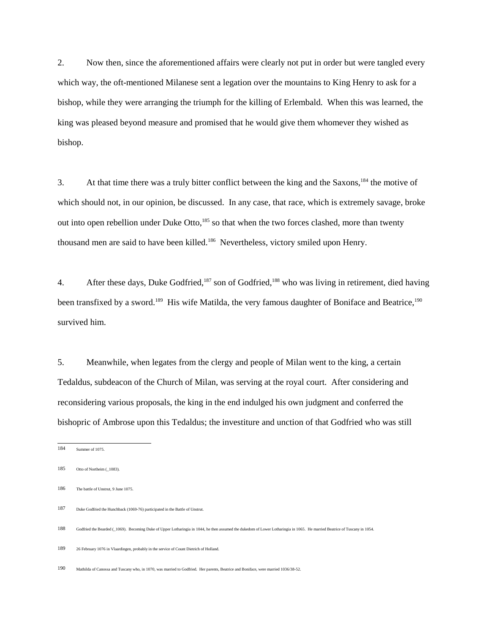2. Now then, since the aforementioned affairs were clearly not put in order but were tangled every which way, the oft-mentioned Milanese sent a legation over the mountains to King Henry to ask for a bishop, while they were arranging the triumph for the killing of Erlembald. When this was learned, the king was pleased beyond measure and promised that he would give them whomever they wished as bishop.

3. At that time there was a truly bitter conflict between the king and the Saxons,184 the motive of which should not, in our opinion, be discussed. In any case, that race, which is extremely savage, broke out into open rebellion under Duke Otto,<sup>185</sup> so that when the two forces clashed, more than twenty thousand men are said to have been killed.<sup>186</sup> Nevertheless, victory smiled upon Henry.

4. After these days, Duke Godfried,<sup>187</sup> son of Godfried,<sup>188</sup> who was living in retirement, died having been transfixed by a sword.<sup>189</sup> His wife Matilda, the very famous daughter of Boniface and Beatrice,<sup>190</sup> survived him.

5. Meanwhile, when legates from the clergy and people of Milan went to the king, a certain Tedaldus, subdeacon of the Church of Milan, was serving at the royal court. After considering and reconsidering various proposals, the king in the end indulged his own judgment and conferred the bishopric of Ambrose upon this Tedaldus; the investiture and unction of that Godfried who was still

<sup>184</sup> Summer of 1075.

<sup>185</sup> Otto of Northeim (\_1083).

<sup>186</sup> The battle of Unstrut, 9 June 1075.

<sup>187</sup> Duke Godfried the Hunchback (1069-76) participated in the Battle of Unstrut

<sup>188</sup> Godfried the Bearded (\_1069). Becoming Duke of Upper Lotharingia in 1044, he then assumed the dukedom of Lower Lotharingia in 1065. He married Beatrice of Tuscany in 1054.

<sup>189 26</sup> February 1076 in Vlaardingen, probably in the service of Count Dietrich of Holland.

<sup>190</sup> Mathilda of Canossa and Tuscany who, in 1070, was married to Godfried. Her parents, Beatrice and Boniface, were married 1036/38-52.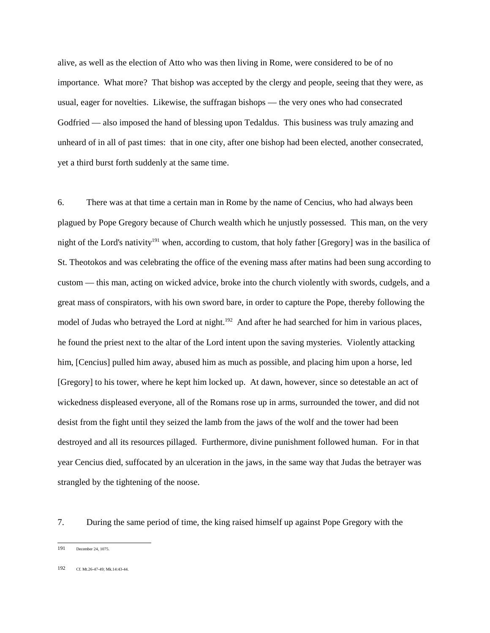alive, as well as the election of Atto who was then living in Rome, were considered to be of no importance. What more? That bishop was accepted by the clergy and people, seeing that they were, as usual, eager for novelties. Likewise, the suffragan bishops — the very ones who had consecrated Godfried — also imposed the hand of blessing upon Tedaldus. This business was truly amazing and unheard of in all of past times: that in one city, after one bishop had been elected, another consecrated, yet a third burst forth suddenly at the same time.

6. There was at that time a certain man in Rome by the name of Cencius, who had always been plagued by Pope Gregory because of Church wealth which he unjustly possessed. This man, on the very night of the Lord's nativity<sup>191</sup> when, according to custom, that holy father [Gregory] was in the basilica of St. Theotokos and was celebrating the office of the evening mass after matins had been sung according to custom — this man, acting on wicked advice, broke into the church violently with swords, cudgels, and a great mass of conspirators, with his own sword bare, in order to capture the Pope, thereby following the model of Judas who betrayed the Lord at night.<sup>192</sup> And after he had searched for him in various places, he found the priest next to the altar of the Lord intent upon the saving mysteries. Violently attacking him, [Cencius] pulled him away, abused him as much as possible, and placing him upon a horse, led [Gregory] to his tower, where he kept him locked up. At dawn, however, since so detestable an act of wickedness displeased everyone, all of the Romans rose up in arms, surrounded the tower, and did not desist from the fight until they seized the lamb from the jaws of the wolf and the tower had been destroyed and all its resources pillaged. Furthermore, divine punishment followed human. For in that year Cencius died, suffocated by an ulceration in the jaws, in the same way that Judas the betrayer was strangled by the tightening of the noose.

7. During the same period of time, the king raised himself up against Pope Gregory with the

192 Cf. Mt.26-47-49; Mk.14:43-44.

<sup>191</sup> December 24, 1075.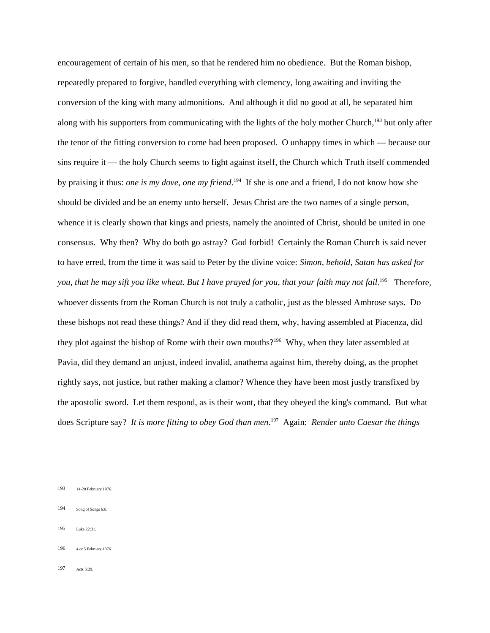encouragement of certain of his men, so that he rendered him no obedience. But the Roman bishop, repeatedly prepared to forgive, handled everything with clemency, long awaiting and inviting the conversion of the king with many admonitions. And although it did no good at all, he separated him along with his supporters from communicating with the lights of the holy mother Church,<sup>193</sup> but only after the tenor of the fitting conversion to come had been proposed. O unhappy times in which — because our sins require it — the holy Church seems to fight against itself, the Church which Truth itself commended by praising it thus: *one is my dove, one my friend*. 194 If she is one and a friend, I do not know how she should be divided and be an enemy unto herself. Jesus Christ are the two names of a single person, whence it is clearly shown that kings and priests, namely the anointed of Christ, should be united in one consensus. Why then? Why do both go astray? God forbid! Certainly the Roman Church is said never to have erred, from the time it was said to Peter by the divine voice: *Simon, behold, Satan has asked for* you, that he may sift you like wheat. But I have prayed for you, that your faith may not fail.<sup>195</sup> Therefore, whoever dissents from the Roman Church is not truly a catholic, just as the blessed Ambrose says. Do these bishops not read these things? And if they did read them, why, having assembled at Piacenza, did they plot against the bishop of Rome with their own mouths?<sup>196</sup> Why, when they later assembled at Pavia, did they demand an unjust, indeed invalid, anathema against him, thereby doing, as the prophet rightly says, not justice, but rather making a clamor? Whence they have been most justly transfixed by the apostolic sword. Let them respond, as is their wont, that they obeyed the king's command. But what does Scripture say? *It is more fitting to obey God than men*. 197 Again: *Render unto Caesar the things*

- 195 Luke 22:31.
- 196 4 or 5 February 1076.
- 197 Acts 5:29.

<sup>193 14-20</sup> February 1076.

<sup>194</sup> Song of Songs 6:8.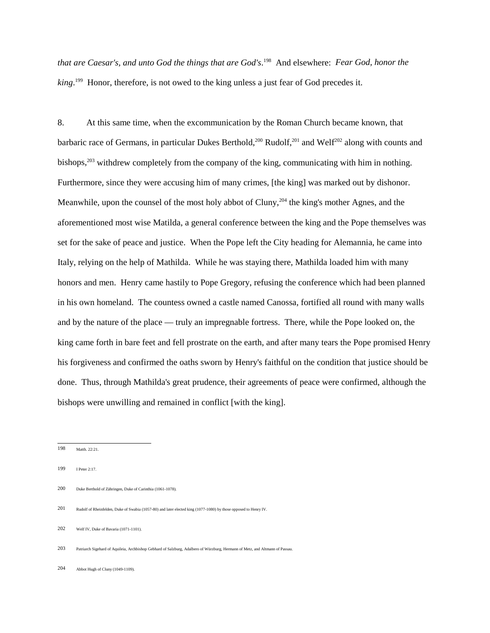*that are Caesar's, and unto God the things that are God's*. 198 And elsewhere: *Fear God, honor the king*. 199 Honor, therefore, is not owed to the king unless a just fear of God precedes it.

8. At this same time, when the excommunication by the Roman Church became known, that barbaric race of Germans, in particular Dukes Berthold,<sup>200</sup> Rudolf,<sup>201</sup> and Welf<sup>202</sup> along with counts and bishops, $^{203}$  withdrew completely from the company of the king, communicating with him in nothing. Furthermore, since they were accusing him of many crimes, [the king] was marked out by dishonor. Meanwhile, upon the counsel of the most holy abbot of Cluny,<sup>204</sup> the king's mother Agnes, and the aforementioned most wise Matilda, a general conference between the king and the Pope themselves was set for the sake of peace and justice. When the Pope left the City heading for Alemannia, he came into Italy, relying on the help of Mathilda. While he was staying there, Mathilda loaded him with many honors and men. Henry came hastily to Pope Gregory, refusing the conference which had been planned in his own homeland. The countess owned a castle named Canossa, fortified all round with many walls and by the nature of the place — truly an impregnable fortress. There, while the Pope looked on, the king came forth in bare feet and fell prostrate on the earth, and after many tears the Pope promised Henry his forgiveness and confirmed the oaths sworn by Henry's faithful on the condition that justice should be done. Thus, through Mathilda's great prudence, their agreements of peace were confirmed, although the bishops were unwilling and remained in conflict [with the king].

<sup>198</sup> Matth. 22:21.

<sup>199</sup> I Peter 2:17.

<sup>200</sup> Duke Berthold of Zähringen, Duke of Carinthia (1061-1078).

<sup>201</sup> Rudolf of Rheinfelden, Duke of Swabia (1057-80) and later elected king (1077-1080) by those opposed to Henry IV.

<sup>202</sup> Welf IV, Duke of Bavaria (1071-1101).

<sup>203</sup> Patriarch Sigehard of Aquileia, Archbishop Gebhard of Salzburg, Adalbero of Würzburg, Hermann of Metz, and Altmann of Passau.

<sup>204</sup> Abbot Hugh of Cluny (1049-1109).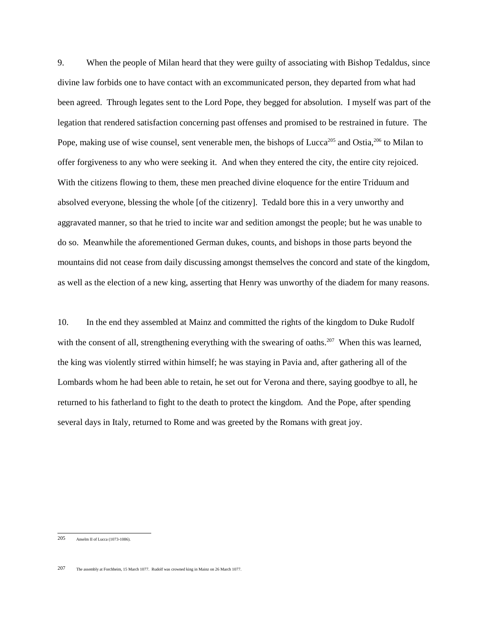9. When the people of Milan heard that they were guilty of associating with Bishop Tedaldus, since divine law forbids one to have contact with an excommunicated person, they departed from what had been agreed. Through legates sent to the Lord Pope, they begged for absolution. I myself was part of the legation that rendered satisfaction concerning past offenses and promised to be restrained in future. The Pope, making use of wise counsel, sent venerable men, the bishops of Lucca<sup>205</sup> and Ostia,<sup>206</sup> to Milan to offer forgiveness to any who were seeking it. And when they entered the city, the entire city rejoiced. With the citizens flowing to them, these men preached divine eloquence for the entire Triduum and absolved everyone, blessing the whole [of the citizenry]. Tedald bore this in a very unworthy and aggravated manner, so that he tried to incite war and sedition amongst the people; but he was unable to do so. Meanwhile the aforementioned German dukes, counts, and bishops in those parts beyond the mountains did not cease from daily discussing amongst themselves the concord and state of the kingdom, as well as the election of a new king, asserting that Henry was unworthy of the diadem for many reasons.

10. In the end they assembled at Mainz and committed the rights of the kingdom to Duke Rudolf with the consent of all, strengthening everything with the swearing of oaths.<sup>207</sup> When this was learned, the king was violently stirred within himself; he was staying in Pavia and, after gathering all of the Lombards whom he had been able to retain, he set out for Verona and there, saying goodbye to all, he returned to his fatherland to fight to the death to protect the kingdom. And the Pope, after spending several days in Italy, returned to Rome and was greeted by the Romans with great joy.

<sup>205</sup> Anselm II of Lucca (1073-1086).

<sup>207</sup> The assembly at Forchheim, 15 March 1077. Rudolf was crowned king in Mainz on 26 March 1077.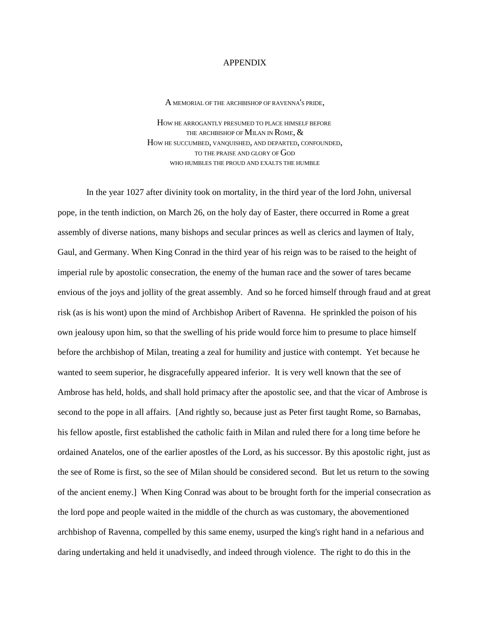## APPENDIX

A MEMORIAL OF THE ARCHBISHOP OF RAVENNA'S PRIDE,

HOW HE ARROGANTLY PRESUMED TO PLACE HIMSELF BEFORE THE ARCHBISHOP OF MILAN IN ROME,  $\&$ HOW HE SUCCUMBED, VANQUISHED, AND DEPARTED, CONFOUNDED, TO THE PRAISE AND GLORY OF GOD WHO HUMBLES THE PROUD AND EXALTS THE HUMBLE

In the year 1027 after divinity took on mortality, in the third year of the lord John, universal pope, in the tenth indiction, on March 26, on the holy day of Easter, there occurred in Rome a great assembly of diverse nations, many bishops and secular princes as well as clerics and laymen of Italy, Gaul, and Germany. When King Conrad in the third year of his reign was to be raised to the height of imperial rule by apostolic consecration, the enemy of the human race and the sower of tares became envious of the joys and jollity of the great assembly. And so he forced himself through fraud and at great risk (as is his wont) upon the mind of Archbishop Aribert of Ravenna. He sprinkled the poison of his own jealousy upon him, so that the swelling of his pride would force him to presume to place himself before the archbishop of Milan, treating a zeal for humility and justice with contempt. Yet because he wanted to seem superior, he disgracefully appeared inferior. It is very well known that the see of Ambrose has held, holds, and shall hold primacy after the apostolic see, and that the vicar of Ambrose is second to the pope in all affairs. [And rightly so, because just as Peter first taught Rome, so Barnabas, his fellow apostle, first established the catholic faith in Milan and ruled there for a long time before he ordained Anatelos, one of the earlier apostles of the Lord, as his successor. By this apostolic right, just as the see of Rome is first, so the see of Milan should be considered second. But let us return to the sowing of the ancient enemy.] When King Conrad was about to be brought forth for the imperial consecration as the lord pope and people waited in the middle of the church as was customary, the abovementioned archbishop of Ravenna, compelled by this same enemy, usurped the king's right hand in a nefarious and daring undertaking and held it unadvisedly, and indeed through violence. The right to do this in the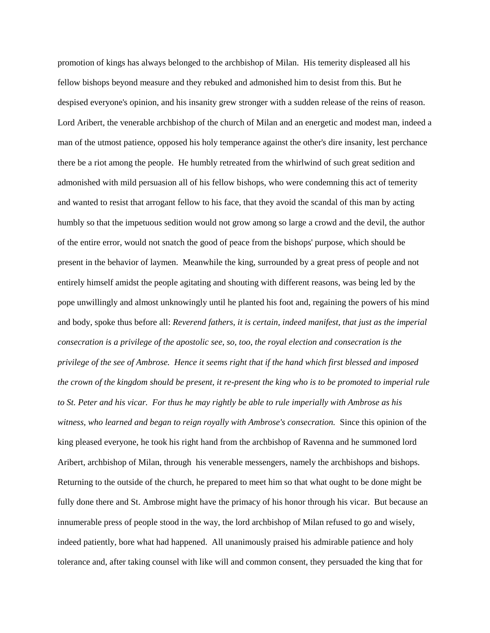promotion of kings has always belonged to the archbishop of Milan. His temerity displeased all his fellow bishops beyond measure and they rebuked and admonished him to desist from this. But he despised everyone's opinion, and his insanity grew stronger with a sudden release of the reins of reason. Lord Aribert, the venerable archbishop of the church of Milan and an energetic and modest man, indeed a man of the utmost patience, opposed his holy temperance against the other's dire insanity, lest perchance there be a riot among the people. He humbly retreated from the whirlwind of such great sedition and admonished with mild persuasion all of his fellow bishops, who were condemning this act of temerity and wanted to resist that arrogant fellow to his face, that they avoid the scandal of this man by acting humbly so that the impetuous sedition would not grow among so large a crowd and the devil, the author of the entire error, would not snatch the good of peace from the bishops' purpose, which should be present in the behavior of laymen. Meanwhile the king, surrounded by a great press of people and not entirely himself amidst the people agitating and shouting with different reasons, was being led by the pope unwillingly and almost unknowingly until he planted his foot and, regaining the powers of his mind and body, spoke thus before all: *Reverend fathers, it is certain, indeed manifest, that just as the imperial consecration is a privilege of the apostolic see, so, too, the royal election and consecration is the privilege of the see of Ambrose. Hence it seems right that if the hand which first blessed and imposed the crown of the kingdom should be present, it re-present the king who is to be promoted to imperial rule to St. Peter and his vicar. For thus he may rightly be able to rule imperially with Ambrose as his witness, who learned and began to reign royally with Ambrose's consecration.* Since this opinion of the king pleased everyone, he took his right hand from the archbishop of Ravenna and he summoned lord Aribert, archbishop of Milan, through his venerable messengers, namely the archbishops and bishops. Returning to the outside of the church, he prepared to meet him so that what ought to be done might be fully done there and St. Ambrose might have the primacy of his honor through his vicar. But because an innumerable press of people stood in the way, the lord archbishop of Milan refused to go and wisely, indeed patiently, bore what had happened. All unanimously praised his admirable patience and holy tolerance and, after taking counsel with like will and common consent, they persuaded the king that for